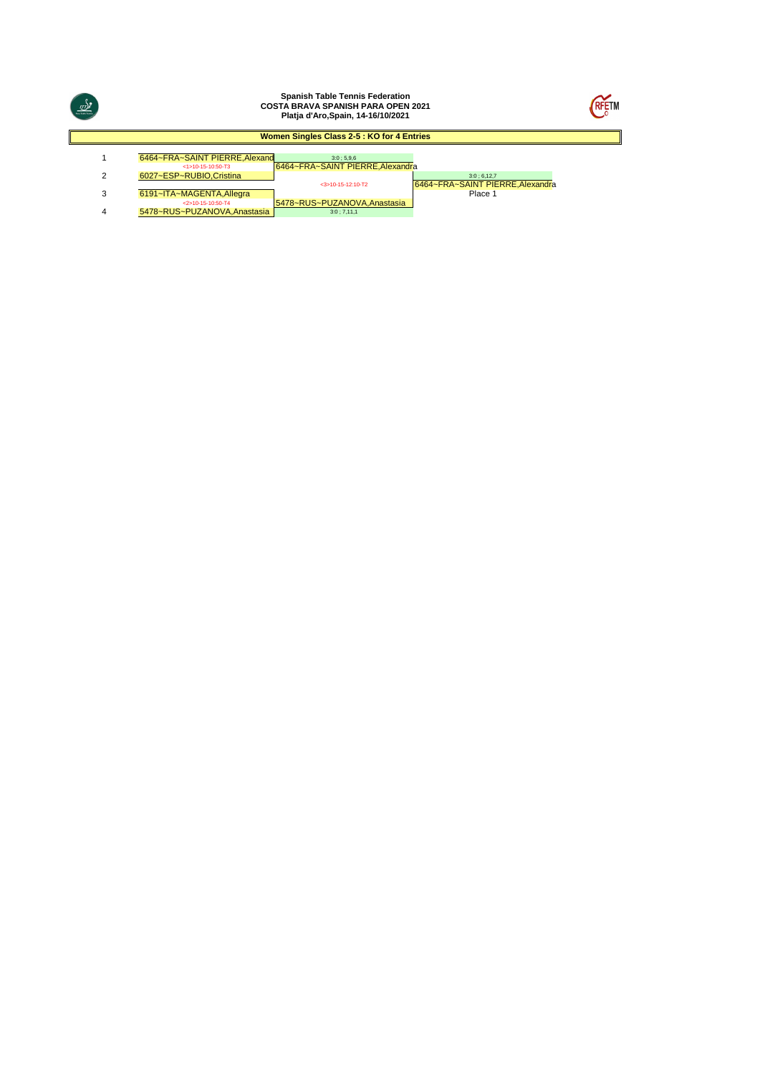| $\underbrace{w}_{\mathcal{F}}^{\eta}$ |                                                    | <b>Spanish Table Tennis Federation</b><br><b>COSTA BRAVA SPANISH PARA OPEN 2021</b><br>Platja d'Aro, Spain, 14-16/10/2021 |                                             | <b>RFETN</b> |
|---------------------------------------|----------------------------------------------------|---------------------------------------------------------------------------------------------------------------------------|---------------------------------------------|--------------|
|                                       |                                                    | Women Singles Class 2-5 : KO for 4 Entries                                                                                |                                             |              |
|                                       | 6464~FRA~SAINT PIERRE, Alexand                     | 3:0:5.9.6                                                                                                                 |                                             |              |
| 2                                     | $<$ 1>10-15-10:50-T3<br>6027~ESP~RUBIO.Cristina    | 6464~FRA~SAINT PIERRE, Alexandra                                                                                          | 3:0;6,12,7                                  |              |
| 3                                     | 6191~ITA~MAGENTA, Allegra                          | $<$ 3>10-15-12:10-T2                                                                                                      | 6464~FRA~SAINT PIERRE, Alexandra<br>Place 1 |              |
| 4                                     | $<2>10-15-10:50-T4$<br>5478~RUS~PUZANOVA.Anastasia | 5478~RUS~PUZANOVA, Anastasia<br>3:0;7,11,1                                                                                |                                             |              |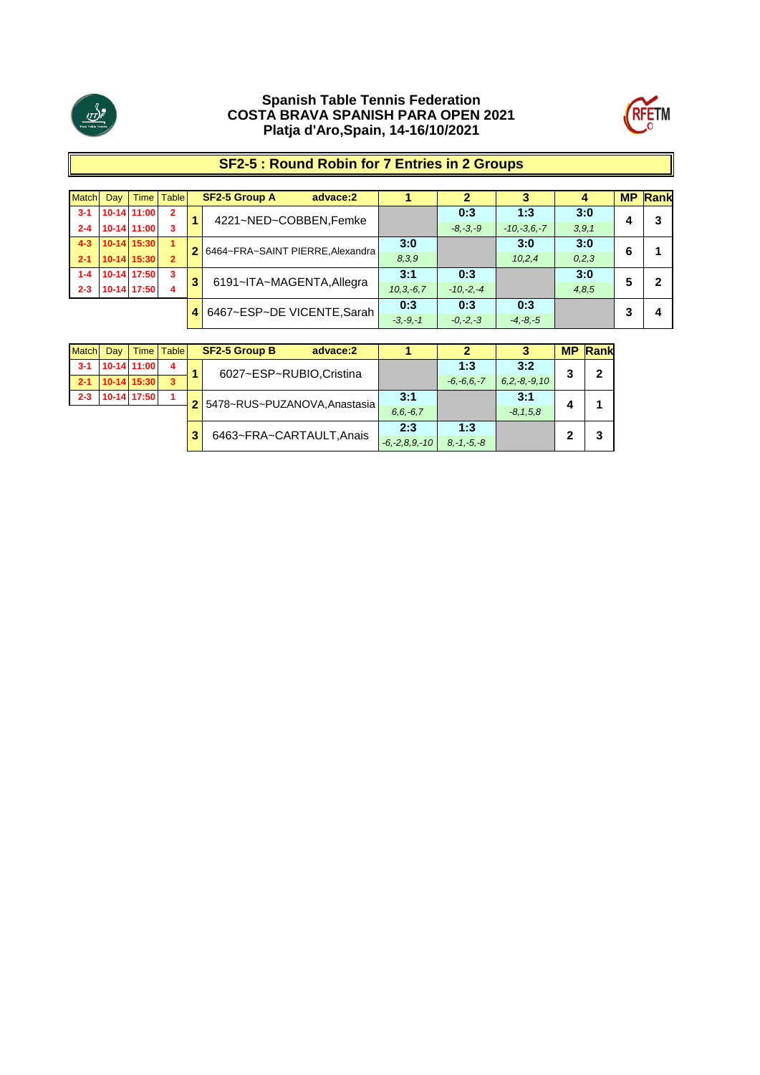



# **SF2-5 : Round Robin for 7 Entries in 2 Groups**

| <b>Match</b> | Day 1 |               | Time   Table   |   | <b>SF2-5 Group A</b><br>advace:2 |              |              |               | 4       | <b>MP</b> | Rank |
|--------------|-------|---------------|----------------|---|----------------------------------|--------------|--------------|---------------|---------|-----------|------|
| $3-1$        |       | 10-14 11:00   | $\overline{2}$ | а | 4221~NED~COBBEN, Femke           |              | 0:3          | 1:3           | 3:0     |           | 3    |
| $2 - 4$      |       | 10-14 11:00   | 3              |   |                                  |              | $-8, -3, -9$ | $-10,-3,6,-7$ | 3, 9, 1 |           |      |
| $4 - 3$      |       | $10-14$ 15:30 | 1              |   | 6464~FRA~SAINT PIERRE, Alexandra | 3:0          |              | 3:0           | 3:0     | 6         |      |
| $2 - 1$      |       | $10-14$ 15:30 | $\overline{2}$ |   |                                  | 8,3,9        |              | 10,2,4        | 0, 2, 3 |           |      |
| $1 - 4$      |       | 10-14 17:50   | 3              |   |                                  | 3:1          | 0:3          |               | 3:0     | 5         |      |
| $2 - 3$      |       | 10-14 17:50   | 4              | 3 | 6191~ITA~MAGENTA, Allegra        | $10.3 - 6.7$ | $-10,-2,-4$  |               | 4,8,5   |           |      |
|              |       |               |                |   |                                  | 0:3          | 0:3          | 0:3           |         | ≏         |      |
|              |       |               |                | 4 | 6467~ESP~DE VICENTE, Sarah       | $-3, -9, -1$ | $-0,-2,-3$   | $-4, -8, -5$  |         |           | 4    |

| Match   | Day | Time        | <b>Table</b> | <b>SF2-5 Group B</b><br>advace:2 |                     |                 |                   | <b>MP</b> | <b>Rank</b> |
|---------|-----|-------------|--------------|----------------------------------|---------------------|-----------------|-------------------|-----------|-------------|
| $3-1$   |     | 10-14 11:00 | 4            | 6027~ESP~RUBIO, Cristina         |                     | 1:3             | 3:2               | 3         | 2           |
| $2 - 1$ |     | 10-14 15:30 | 3            |                                  |                     | $-6, -6, 6, -7$ | $6.2, -8, -9, 10$ |           |             |
| $2 - 3$ |     | 10-14 17:50 | 1            | 5478~RUS~PUZANOVA, Anastasia     | 3:1                 |                 | 3:1               |           |             |
|         |     |             |              |                                  | $6, 6, -6, 7$       |                 | $-8.1,5.8$        | 4         |             |
|         |     |             |              | 6463~FRA~CARTAULT, Anais         | 2:3                 | 1:3             |                   | 2         |             |
|         |     |             |              |                                  | $-6, -2, 8, 9, -10$ | $8, -1, -5, -8$ |                   |           | 3           |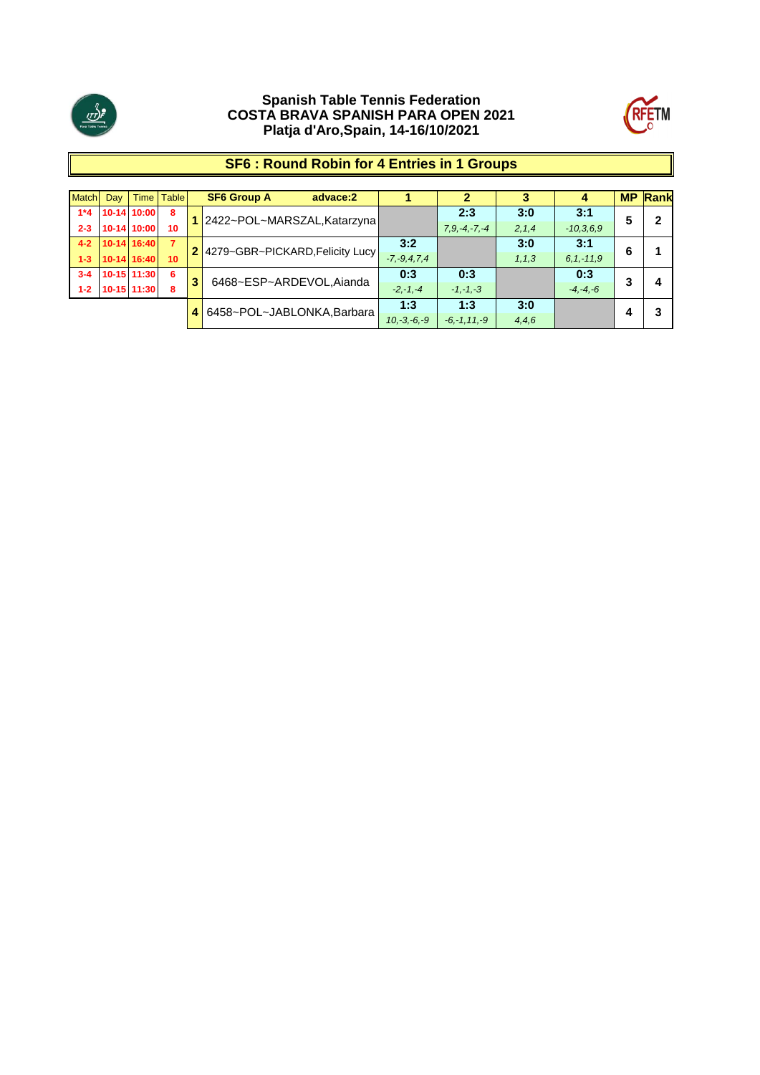



# **SF6 : Round Robin for 4 Entries in 1 Groups**

| <b>Match</b> | Day 1 |               | Time   Table   |   | <b>SF6 Group A</b><br>advace:2    |                   |                   | 3       | 4            |   | <b>MP Rank</b> |
|--------------|-------|---------------|----------------|---|-----------------------------------|-------------------|-------------------|---------|--------------|---|----------------|
| $1*4$        |       | 10-14 10:00   | 8              |   | 1 2422~POL~MARSZAL, Katarzyna     |                   | 2:3               | 3:0     | 3:1          | 5 | 2              |
| $2 - 3$      |       | 10-14 10:00   | 10             |   |                                   |                   | $7.9 - 4 - 7 - 4$ | 2, 1, 4 | $-10,3,6,9$  |   |                |
| $4 - 2$      |       | $10-14$ 16:40 | $\overline{7}$ |   | 2 4279~GBR~PICKARD, Felicity Lucy | 3:2               |                   | 3:0     | 3:1          | 6 |                |
| $1 - 3$      |       | 10-14 16:40   | 10             |   |                                   | $-7, -9, 4, 7, 4$ |                   | 1, 1, 3 | $6.1 - 11.9$ |   |                |
| $3 - 4$      |       | 10-15 11:30   | 6              | 3 | 6468~ESP~ARDEVOL, Aianda          | 0:3               | 0:3               |         | 0:3          | 3 | Δ              |
| $1 - 2$      |       | 10-15 11:30   | 8              |   |                                   | $-2,-1,-4$        | $-1, -1, -3$      |         | $-4, -4, -6$ |   |                |
|              |       |               |                | 4 | 6458~POL~JABLONKA, Barbara        | 1:3               | 1:3               | 3:0     |              |   |                |
|              |       |               |                |   |                                   | $10,-3,-6,-9$     | $-6, -1, 11, -9$  | 4, 4, 6 |              |   |                |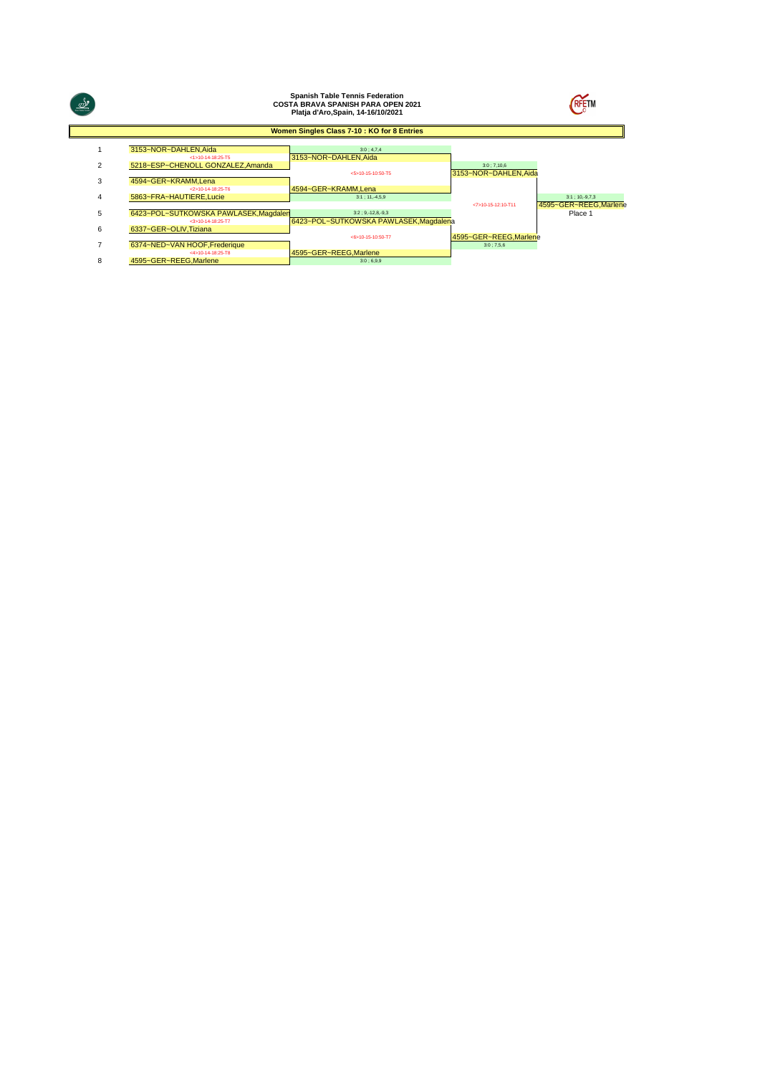| $\frac{\sqrt{3}}{2}$ |                                                              | <b>Spanish Table Tennis Federation</b><br><b>COSTA BRAVA SPANISH PARA OPEN 2021</b><br>Platja d'Aro, Spain, 14-16/10/2021 |                                    | <b>RFETM</b>                                   |
|----------------------|--------------------------------------------------------------|---------------------------------------------------------------------------------------------------------------------------|------------------------------------|------------------------------------------------|
|                      |                                                              | Women Singles Class 7-10 : KO for 8 Entries                                                                               |                                    |                                                |
|                      | 3153~NOR~DAHLEN, Aida<br><1>10-14-18:25-T5                   | 3:0:4.7.4<br>3153~NOR~DAHLEN.Aida                                                                                         |                                    |                                                |
| $\overline{2}$       | 5218~ESP~CHENOLL GONZALEZ.Amanda                             | <5>10-15-10:50-T5                                                                                                         | 3:0:7,10.6<br>3153~NOR~DAHLEN.Aida |                                                |
| 3                    | 4594~GER~KRAMM, Lena<br><2>10-14-18:25-T6                    | 4594~GER~KRAMM.Lena                                                                                                       |                                    |                                                |
| 4                    | 5863~FRA~HAUTIERE, Lucie                                     | $3:1:11.-4.5.9$                                                                                                           | <7>10-15-12:10-T11                 | $3:1$ ; 10, -9, 7, 3<br>4595~GER~REEG, Marlene |
| 5                    | 6423~POL~SUTKOWSKA PAWLASEK, Magdalen<br>$<3>10-14-18:25-T7$ | $3:2:9,-12,8,-9,3$<br>6423~POL~SUTKOWSKA PAWLASEK, Magdalena                                                              |                                    | Place 1                                        |
| 6                    | 6337~GER~OLIV, Tiziana                                       | <6>10-15-10:50-T7                                                                                                         | 4595~GER~REEG, Marlene             |                                                |
|                      | 6374~NED~VAN HOOF, Frederique<br><4>10-14-18:25-T8           |                                                                                                                           | $3:0$ ; 7,5,6                      |                                                |
| 8                    | 4595~GER~REEG.Marlene                                        | 4595~GER~REEG, Marlene<br>3:0:6,9,9                                                                                       |                                    |                                                |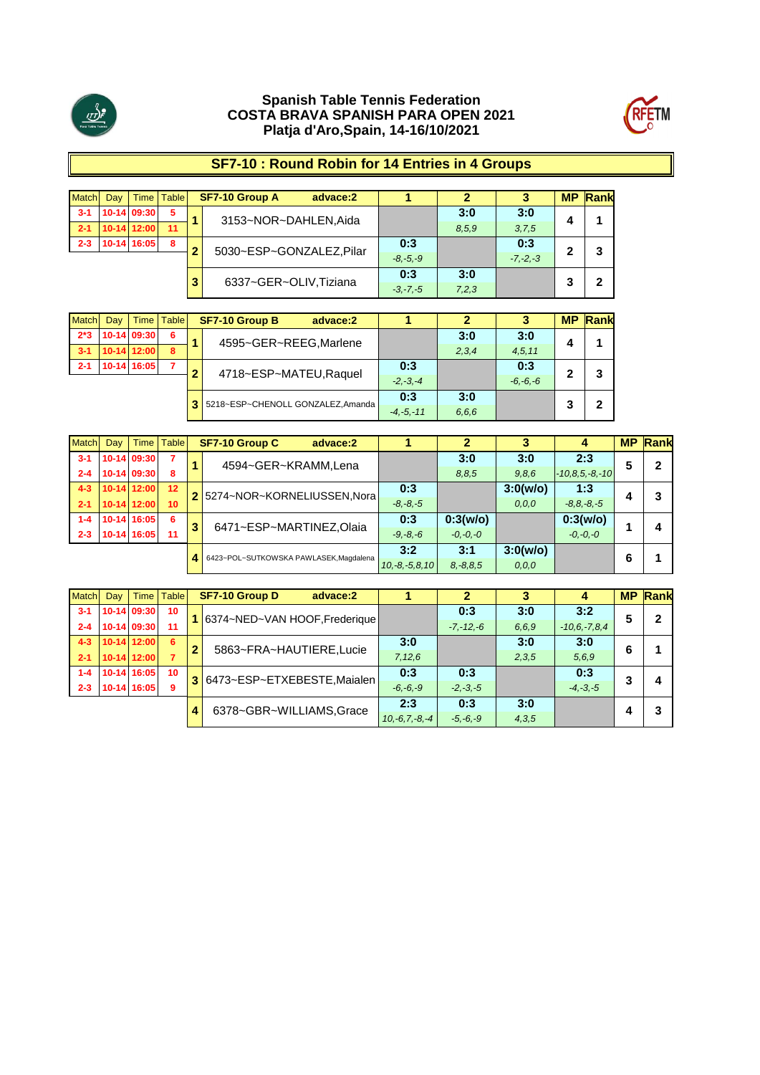



# **SF7-10 : Round Robin for 14 Entries in 4 Groups**

| <b>Match</b> | Dav | Time          | <b>Table</b> |   | SF7-10 Group A<br>advace:2 |              |       |              | <b>MP</b> | Rank |
|--------------|-----|---------------|--------------|---|----------------------------|--------------|-------|--------------|-----------|------|
| $3-1$        |     | 10-14 09:30   | 5            |   | 3153~NOR~DAHLEN, Aida      |              | 3:0   | 3:0          |           |      |
| $2 - 1$      |     | $10-14$ 12:00 | 11           |   |                            |              | 8.5.9 | 3,7,5        | 4         |      |
| $2 - 3$      |     | 10-14 16:05   | 8            | ≘ | 5030~ESP~GONZALEZ.Pilar    | 0:3          |       | 0:3          | ≏         |      |
|              |     |               |              |   |                            | $-8. -5. -9$ |       | $-7. -2. -3$ |           |      |
|              |     |               |              |   |                            | 0:3          | 3:0   |              | ີ         |      |
|              |     |               |              | 3 | 6337~GER~OLIV, Tiziana     | $-3, -7, -5$ | 7,2,3 |              |           |      |

| <b>Match</b> | Dav | Time I        | <b>Table</b> | <b>SF7-10 Group B</b><br>advace:2   |               |       |              | <b>MP</b> | <b>Rank</b> |
|--------------|-----|---------------|--------------|-------------------------------------|---------------|-------|--------------|-----------|-------------|
| $2*3$        |     | 10-14 09:30   | 6            | 4595~GER~REEG, Marlene              |               | 3:0   | 3:0          |           |             |
| $3 - 1$      |     | $10-14$ 12:00 | 8            |                                     |               | 2,3,4 | 4,5,11       |           |             |
| $2 - 1$      |     | 10-14 16:05   | 7            | 4718~ESP~MATEU, Raquel              | 0:3           |       | 0:3          |           |             |
|              |     |               |              |                                     | $-2, -3, -4$  |       | $-6, -6, -6$ |           |             |
|              |     |               |              | 3 5218~ESP~CHENOLL GONZALEZ, Amanda | 0:3           | 3:0   |              |           |             |
|              |     |               |              |                                     | $-4, -5, -11$ | 6.6.6 |              |           |             |

| Match   | Day |               | Time   Table    |   | <b>SF7-10 Group C</b><br>advace:2      |                 |               |          | 4                    | <b>MP</b> | Rank |
|---------|-----|---------------|-----------------|---|----------------------------------------|-----------------|---------------|----------|----------------------|-----------|------|
| $3 - 1$ |     | 10-14 09:30   |                 |   | 4594~GER~KRAMM,Lena                    |                 | 3:0           | 3:0      | 2:3                  | 5         | 2    |
| $2 - 4$ |     | 10-14 09:30   | 8               |   |                                        |                 | 8.8.5         | 9,8,6    | $-10, 8, 5, -8, -10$ |           |      |
| $4 - 3$ |     | $10-14$ 12:00 | 12              |   | 2 5274~NOR~KORNELIUSSEN, Nora          | 0:3             |               | 3:0(w/o) | 1:3                  |           | 3    |
| $2 - 1$ |     | 10-14 12:00   | 10 <sup>1</sup> |   |                                        | $-8, -8, -5$    |               | 0, 0, 0  | $-8.8 - 8. - 5$      |           |      |
| $1 - 4$ |     | 10-14 16:05   | - 6             | 3 | 6471~ESP~MARTINEZ,Olaia                | 0:3             | 0:3(w/o)      |          | 0:3(w/o)             |           | 4    |
| $2 - 3$ |     | 10-14 16:05   | 11              |   |                                        | $-9, -8, -6$    | $-0, -0, -0$  |          | $-0, -0, -0$         |           |      |
|         |     |               |                 |   | 6423~POL~SUTKOWSKA PAWLASEK, Magdalena | 3:2             | 3:1           | 3:0(w/o) |                      | 6         |      |
|         |     |               |                 | 4 |                                        | $10,-8,-5,8,10$ | $8, -8, 8, 5$ | 0, 0, 0  |                      |           |      |

| <b>Match</b> | Day |               | Time   Table |   | <b>SF7-10 Group D</b><br>advace:2 |                 |               |       |                    | <b>MP</b> | Rank |
|--------------|-----|---------------|--------------|---|-----------------------------------|-----------------|---------------|-------|--------------------|-----------|------|
| $3 - 1$      |     | 10-14 09:30   | 10           |   | 6374~NED~VAN HOOF, Frederique     |                 | 0:3           | 3:0   | 3:2                | 5         | 2    |
| $2 - 4$      |     | 10-14 09:30   | -11          |   |                                   |                 | $-7, -12, -6$ | 6.6.9 | $-10, 6, -7, 8, 4$ |           |      |
| $4 - 3$      |     | $10-14$ 12:00 | 6            | 2 | 5863~FRA~HAUTIERE,Lucie           | 3:0             |               | 3:0   | 3:0                | 6         |      |
| $2 - 1$      |     | 10-14 12:00   |              |   |                                   | 7,12,6          |               | 2,3,5 | 5.6.9              |           |      |
| $1 - 4$      |     | 10-14 16:05   | 10           |   | 6473~ESP~ETXEBESTE,Maialen        | 0:3             | 0:3           |       | 0:3                | 3         | 4    |
| $2 - 3$      |     | 10-14 16:05   | 9            |   |                                   | $-6, -6, -9$    | $-2, -3, -5$  |       | $-4, -3, -5$       |           |      |
|              |     |               |              |   | 6378~GBR~WILLIAMS, Grace          | 2:3             | 0:3           | 3:0   |                    |           | 3    |
|              |     |               |              |   |                                   | $10,-6,7,-8,-4$ | $-5, -6, -9$  | 4,3,5 |                    |           |      |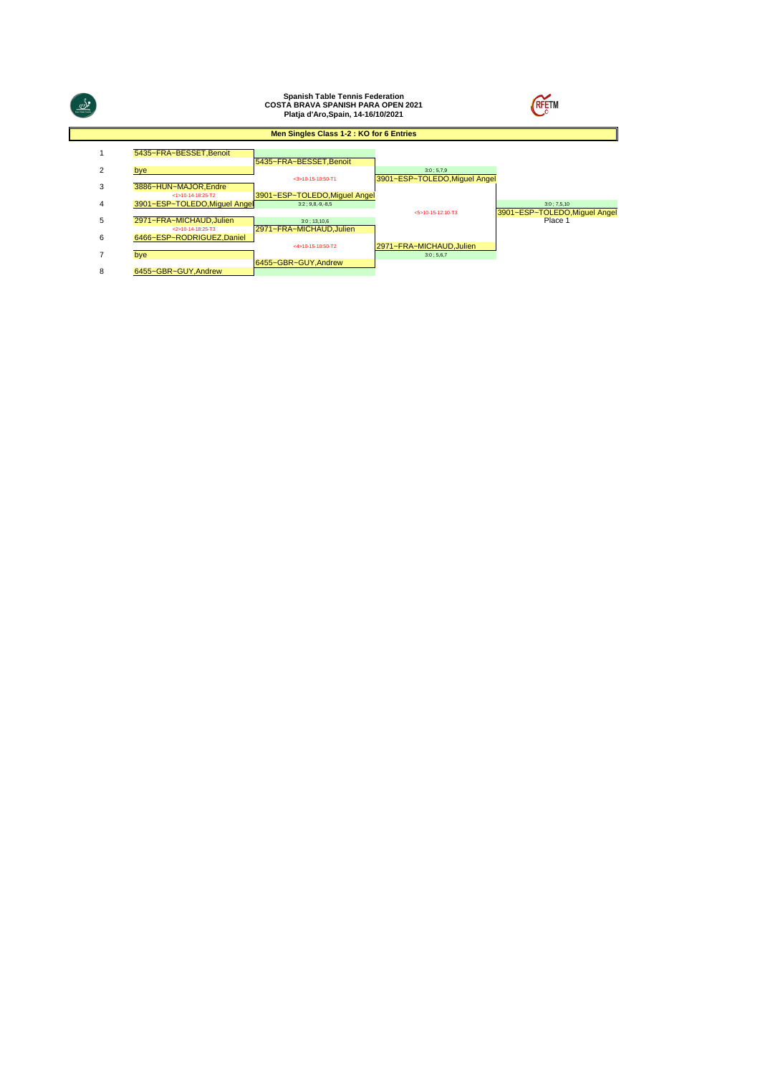| $\frac{1}{2}$ |                                                 | <b>Spanish Table Tennis Federation</b><br><b>COSTA BRAVA SPANISH PARA OPEN 2021</b><br>Platja d'Aro, Spain, 14-16/10/2021 |                                            | <b>RFETM</b>                                   |
|---------------|-------------------------------------------------|---------------------------------------------------------------------------------------------------------------------------|--------------------------------------------|------------------------------------------------|
|               |                                                 | Men Singles Class 1-2 : KO for 6 Entries                                                                                  |                                            |                                                |
|               | 5435~FRA~BESSET, Benoit                         | 5435~FRA~BESSET, Benoit                                                                                                   |                                            |                                                |
| 2             | bye                                             | $<$ 3>10-15-10:50-T1                                                                                                      | 3:0;5,7,9<br>3901~ESP~TOLEDO, Miquel Angel |                                                |
| 3             | 3886~HUN~MAJOR.Endre<br>$<1510-14-18.25-T2$     | 3901~ESP~TOLEDO, Miquel Angel                                                                                             |                                            |                                                |
| 4             | 3901~ESP~TOLEDO, Miquel Angel                   | $3:2:9,8,-9,-8,5$                                                                                                         | $< 5510 - 15 - 12 = 10 - 13$               | $3:0$ ; 7,5,10<br>3901~ESP~TOLEDO.Miquel Angel |
| 5             | 2971~FRA~MICHAUD.Julien<br>$2510-14-18.25 - T3$ | $3:0$ ; 13,10,6<br>2971~FRA~MICHAUD.Julien                                                                                |                                            | Place 1                                        |
| 6             | 6466~ESP~RODRIGUEZ.Daniel                       | <4>10-15-10:50-T2                                                                                                         | 2971~FRA~MICHAUD.Julien                    |                                                |
| 7             | bve                                             |                                                                                                                           | 3:0;5,6,7                                  |                                                |
| 8             | 6455~GBR~GUY.Andrew                             | 6455~GBR~GUY.Andrew                                                                                                       |                                            |                                                |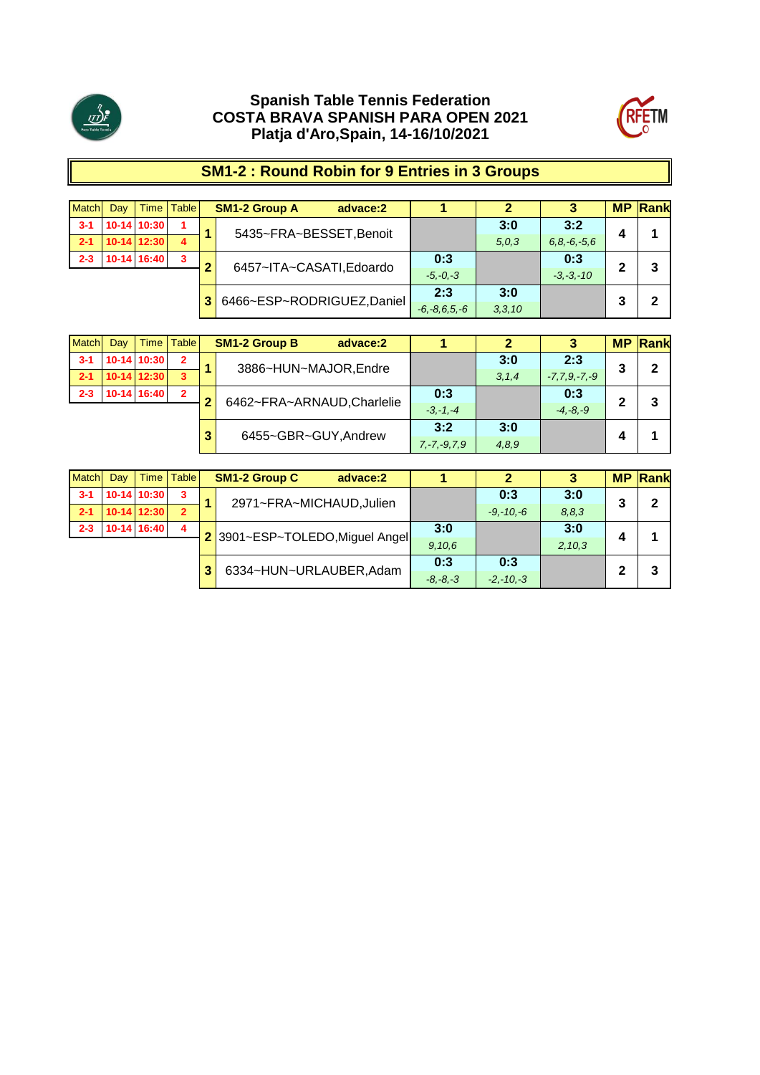



# **SM1-2 : Round Robin for 9 Entries in 3 Groups**

| <b>Match</b> | Dav | Time I        | <b>Table</b> |    | <b>SM1-2 Group A</b>      | advace:2 |                    | 2        |                 | <b>MP</b> | <b>Rank</b> |
|--------------|-----|---------------|--------------|----|---------------------------|----------|--------------------|----------|-----------------|-----------|-------------|
| $3 - 1$      |     | 10-14 10:30   |              |    | 5435~FRA~BESSET, Benoit   |          |                    | 3:0      | 3:2             |           |             |
| $2 - 1$      |     | $10-14$ 12:30 | 4            |    |                           |          |                    | 5.0.3    | $6.8 - 6 - 5.6$ | 4         |             |
| $2 - 3$      |     | 10-14 16:40   | 3            |    | 6457~ITA~CASATI,Edoardo   |          | 0:3                |          | 0:3             | 2         | 3           |
|              |     |               |              |    |                           |          | $-5, -0, -3$       |          | $-3. -3. -10$   |           |             |
|              |     |               |              | 3. | 6466~ESP~RODRIGUEZ,Daniel |          | 2:3                | 3:0      |                 | 3         | 2           |
|              |     |               |              |    |                           |          | $-6, -8, 6, 5, -6$ | 3, 3, 10 |                 |           |             |

| <b>Match</b> | Dav | Time I        | <b>Table</b>   |   | <b>SM1-2 Group B</b><br>advace:2 |                   | 2       |                | <b>MP</b> | Rank |
|--------------|-----|---------------|----------------|---|----------------------------------|-------------------|---------|----------------|-----------|------|
| $3 - 1$      |     | 10-14 10:30   | $\overline{2}$ |   | 3886~HUN~MAJOR, Endre            |                   | 3:0     | 2:3            | 3         | 2    |
| $-2-1$       |     | $10-14$ 12:30 | 3              |   |                                  |                   | 3, 1, 4 | $-7,7,9,-7,-9$ |           |      |
| $2 - 3$      |     | 10-14 16:40   | $\overline{2}$ |   | 6462~FRA~ARNAUD, Charlelie       | 0:3               |         | 0:3            | 2         | 3    |
|              |     |               |                |   |                                  | $-3, -1, -4$      |         | $-4. -8. -9$   |           |      |
|              |     |               |                | 3 | 6455~GBR~GUY, Andrew             | 3:2               | 3:0     |                |           |      |
|              |     |               |                |   |                                  | $7, -7, -9, 7, 9$ | 4,8,9   |                | 4         |      |

| <b>Match</b> | Dav | Time        | <b>Table</b>            |              | <b>SM1-2 Group C</b><br>advace:2 |        | 2             | 3       | <b>MP</b> | <b>Rank</b> |
|--------------|-----|-------------|-------------------------|--------------|----------------------------------|--------|---------------|---------|-----------|-------------|
| $3 - 1$      |     | 10-14 10:30 | 3                       |              | 2971~FRA~MICHAUD, Julien         |        | 0:3           | 3:0     | 3         | $\mathbf 2$ |
| $2 - 1$      |     | 10-14 12:30 | $\overline{2}$          |              |                                  |        | $-9, -10, -6$ | 8, 8, 3 |           |             |
| $2 - 3$      |     | 10-14 16:40 | $\overline{\mathbf{4}}$ |              | 2 3901~ESP~TOLEDO, Miguel Angel  | 3:0    |               | 3:0     | л         |             |
|              |     |             |                         |              |                                  | 9,10,6 |               | 2,10,3  |           |             |
|              |     |             |                         | 3            | 6334~HUN~URLAUBER, Adam          | 0:3    | 0:3           |         | 2         | 3           |
|              |     |             |                         | $-8, -8, -3$ | $-2, -10, -3$                    |        |               |         |           |             |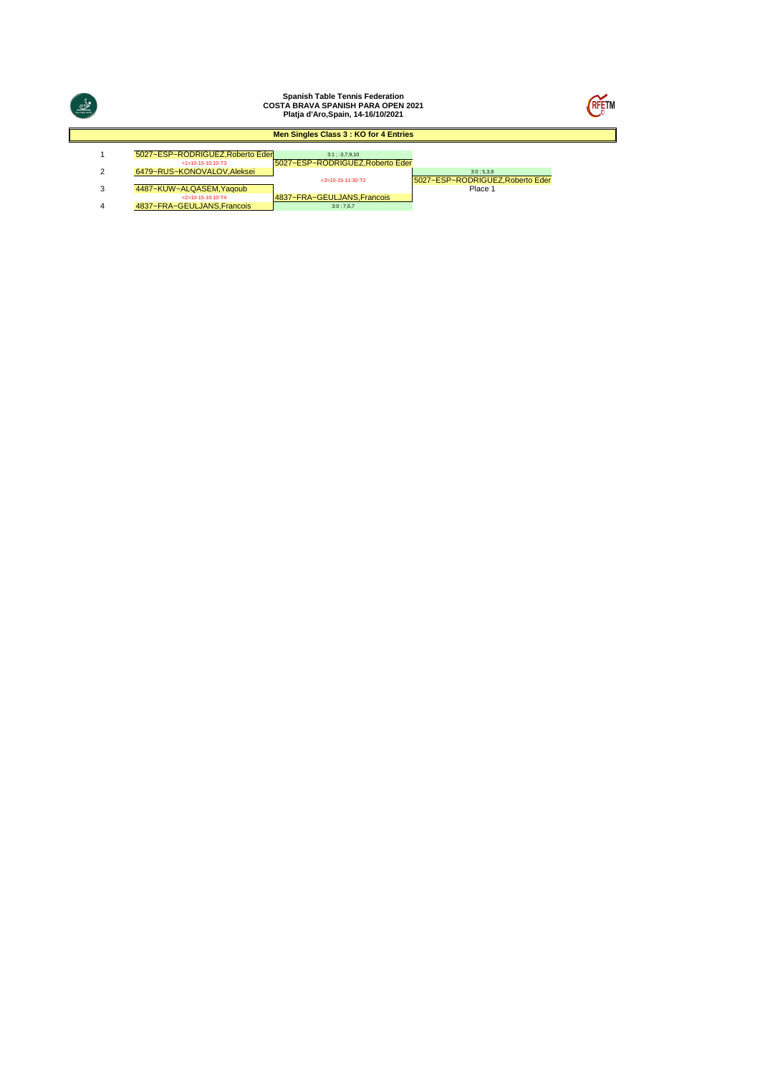|   |                                                        | <b>Spanish Table Tennis Federation</b><br><b>COSTA BRAVA SPANISH PARA OPEN 2021</b><br>Platja d'Aro, Spain, 14-16/10/2021 |                                               | RFETN |
|---|--------------------------------------------------------|---------------------------------------------------------------------------------------------------------------------------|-----------------------------------------------|-------|
|   |                                                        | Men Singles Class 3 : KO for 4 Entries                                                                                    |                                               |       |
|   | 5027~ESP~RODRIGUEZ.Roberto Eder<br>$<1510-15-10:10-73$ | $3:1: -3.7.9.10$<br>5027~ESP~RODRIGUEZ.Roberto Eder                                                                       |                                               |       |
| ◠ | 6479~RUS~KONOVALOV.Aleksei                             | $<$ 3>10-15-11:30-T2                                                                                                      | 3:0:5.3.9<br>5027~ESP~RODRIGUEZ, Roberto Eder |       |
| 3 | 4487~KUW~ALQASEM.Yagoub                                |                                                                                                                           | Place 1                                       |       |
| 4 | $2510 - 15 - 1010 - T4$<br>4837~FRA~GEULJANS.Francois  | 4837~FRA~GEULJANS, Francois<br>3:0;7.6.7                                                                                  |                                               |       |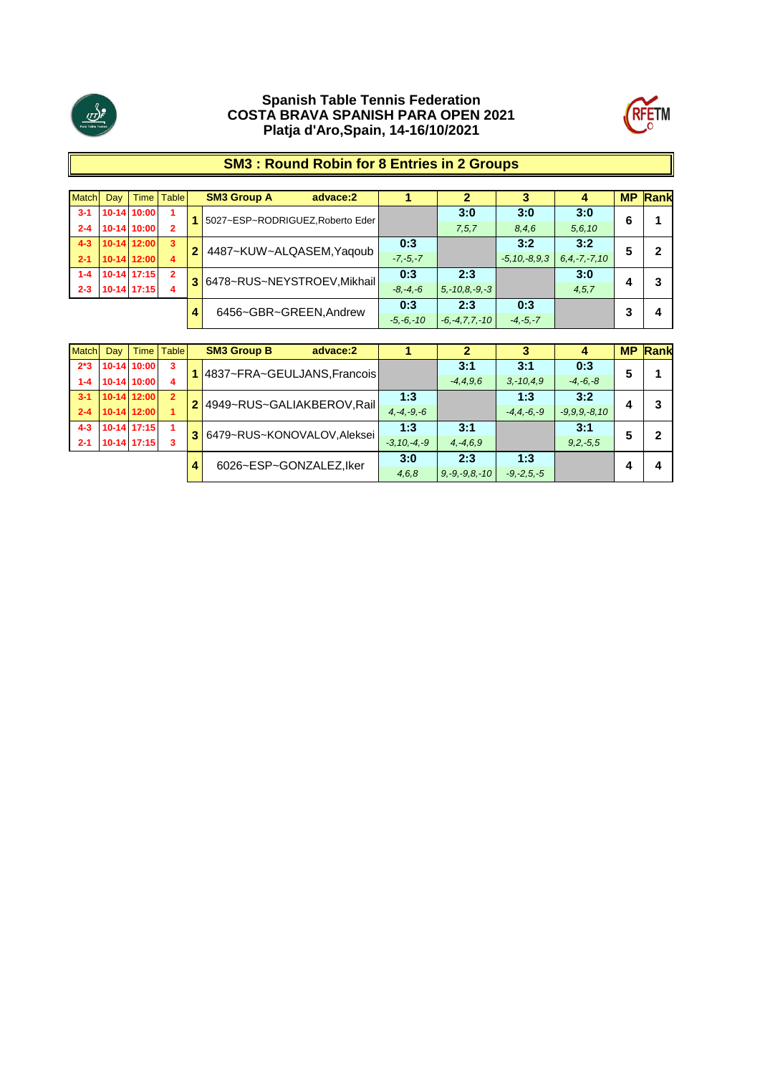



### **SM3 : Round Robin for 8 Entries in 2 Groups**

| Match   | Day                        |               | Time   Table        | <b>SM3 Group A</b><br>advace:2   |              |                     |                    | 4                  | <b>MP</b> | Rank |
|---------|----------------------------|---------------|---------------------|----------------------------------|--------------|---------------------|--------------------|--------------------|-----------|------|
| $3 - 1$ |                            | 10-14 10:00   |                     | 5027~ESP~RODRIGUEZ, Roberto Eder |              | 3:0                 | 3:0                | 3:0                | 6         |      |
| $2 - 4$ |                            | 10-14 10:00   |                     |                                  |              | 7, 5, 7             | 8,4,6              | 5, 6, 10           |           |      |
| $4 - 3$ |                            | 10-14 12:00   | $\overline{3}$      | 4487~KUW~ALQASEM, Yaqoub         | 0:3          |                     | 3:2                | 3:2                |           |      |
| $2 - 1$ |                            | 10-14 12:00   | 4                   |                                  | $-7, -5, -7$ |                     | $-5, 10, -8, 9, 3$ | $6, 4, -7, -7, 10$ | b         |      |
| $1 - 4$ |                            | $10-14$ 17:15 | $\mathbf{2}$        | 3 6478~RUS~NEYSTROEV, Mikhail    | 0:3          | 2:3                 |                    | 3:0                |           |      |
| $2 - 3$ |                            | $10-14$ 17:15 | 4                   |                                  | $-8, -4, -6$ | $5, -10, 8, -9, -3$ |                    | 4, 5, 7            |           |      |
|         |                            |               |                     |                                  | 0:3          | 2:3                 | 0:3                |                    |           |      |
|         | 6456~GBR~GREEN.Andrew<br>4 | $-5, -6, -10$ | $-6, -4, 7, 7, -10$ | $-4, -5, -7$                     |              |                     | Δ                  |                    |           |      |

| <b>Match</b> | Dav |               | Time   Table            |       | <b>SM3 Group B</b><br>advace:2 |                 | 2             |                 | 4               | <b>MP</b> | Rank |
|--------------|-----|---------------|-------------------------|-------|--------------------------------|-----------------|---------------|-----------------|-----------------|-----------|------|
| $2*3$        |     | 10-14 10:00   | -3                      |       | 4837~FRA~GEULJANS, Francois    |                 | 3:1           | 3:1             | 0:3             | 5         |      |
| $1 - 4$      |     | 10-14 10:00   | 4                       |       |                                |                 | $-4, 4, 9, 6$ | $3, -10, 4, 9$  | $-4, -6, -8$    |           |      |
| $3 - 1$      |     | $10-14$ 12:00 | $\overline{2}$          |       |                                | 1:3             |               | 1:3             | 3:2             |           | 3    |
| $2 - 4$      |     | 10-14 12:00   |                         |       | 2 4949~RUS~GALIAKBEROV, Rail   | $4, -4, -9, -6$ |               | $-4, 4, -6, -9$ | $-9.9.9 - 8.10$ |           |      |
| $4 - 3$      |     | 10-14 17:15   |                         |       | 6479~RUS~KONOVALOV, Aleksei    | 1:3             | 3:1           |                 | 3:1             | 5         | 2    |
| $2 - 1$      |     | $10-14$ 17:15 |                         |       |                                | $-3.10 - 4 - 9$ | $4, -4, 6, 9$ |                 | $9,2,-5,5$      |           |      |
|              |     |               | 6026~ESP~GONZALEZ, Iker | 3:0   | 2:3                            | 1:3             |               |                 |                 |           |      |
|              |     | 4             |                         | 4,6,8 | $9, -9, -9, 8, -10$            | $-9, -2, 5, -5$ |               |                 | 4               |           |      |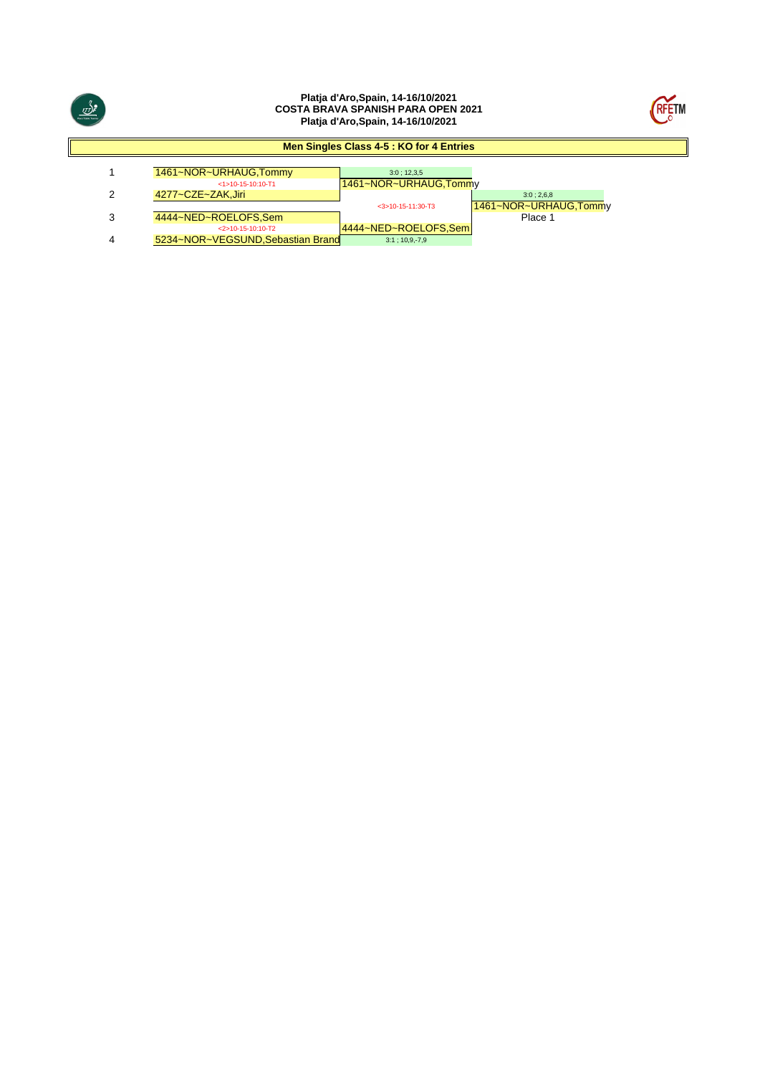

#### **Platja d'Aro,Spain, 14-16/10/2021 COSTA BRAVA SPANISH PARA OPEN 2021 Platja d'Aro,Spain, 14-16/10/2021**



#### **Men Singles Class 4-5 : KO for 4 Entries**

|   | 1461~NOR~URHAUG, Tommy            | 3:0:12.3.5             |                       |
|---|-----------------------------------|------------------------|-----------------------|
|   | $<1>10-15-10:10-T1$               | 1461~NOR~URHAUG, Tommy |                       |
|   | 4277~CZE~ZAK.Jiri                 |                        | 3:0:2.6.8             |
|   |                                   | $<$ 3>10-15-11:30-T3   | 1461~NOR~URHAUG,Tommy |
| 3 | 4444~NED~ROELOFS.Sem              |                        | Place 1               |
|   | $<$ 2>10-15-10:10-T2              | 4444~NED~ROELOFS.Sem   |                       |
|   | 5234~NOR~VEGSUND, Sebastian Brand | $3:1$ ; 10,9,-7,9      |                       |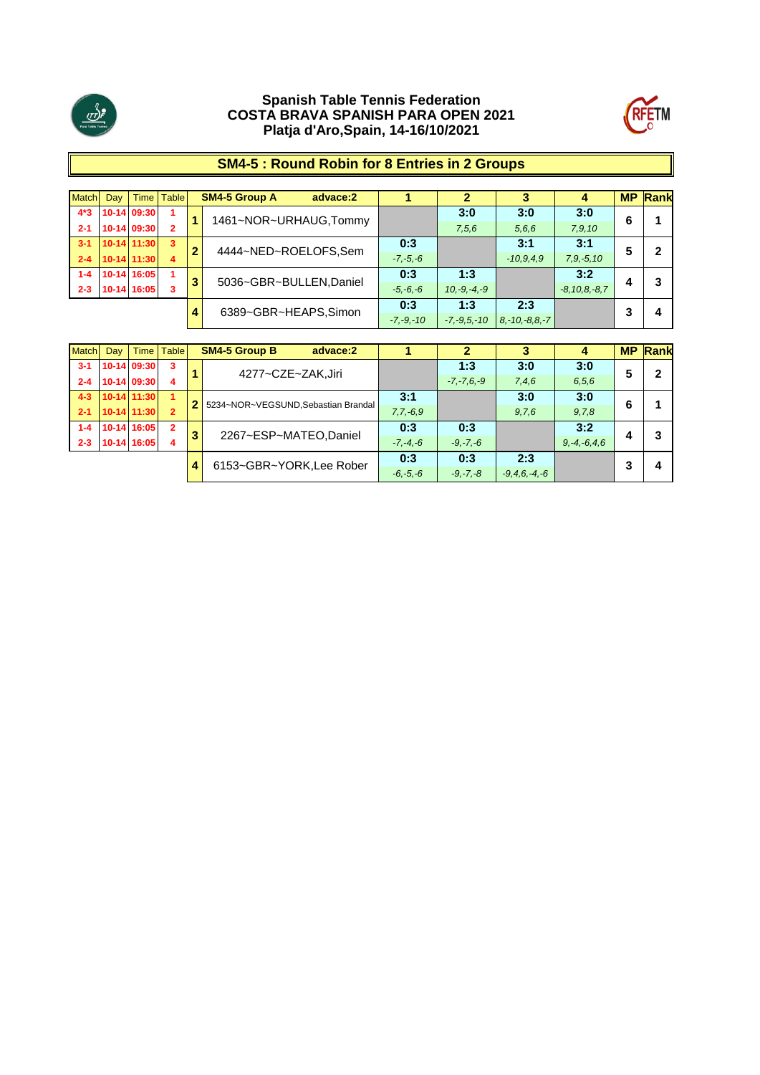



# **SM4-5 : Round Robin for 8 Entries in 2 Groups**

| Match   | Day |                      | Time   Table  |                  | <b>SM4-5 Group A</b><br>advace:2 |              |               | 3           | 4                  |   | <b>MP Rank</b> |
|---------|-----|----------------------|---------------|------------------|----------------------------------|--------------|---------------|-------------|--------------------|---|----------------|
| $4*3$   |     | 10-14 09:30          |               |                  | 1461~NOR~URHAUG,Tommy            |              | 3:0           | 3:0         | 3:0                | 6 |                |
| $2 - 1$ |     | 10-14 09:30          | 2             |                  |                                  |              | 7,5,6         | 5, 6, 6     | 7, 9, 10           |   |                |
| $3 - 1$ |     | $10-14$ 11:30        | 3             | $\overline{2}$   |                                  | 0:3          |               | 3:1         | 3:1                | 5 | 2              |
| $2 - 4$ |     | 10-14 11:30          | 4             |                  | 4444~NED~ROELOFS,Sem             | $-7, -5, -6$ |               | $-10,9,4.9$ | $7, 9, -5, 10$     |   |                |
| $1 - 4$ |     | 10-14 16:05          |               | 3                |                                  | 0:3          | 1:3           |             | 3:2                |   | 3              |
| $2 - 3$ |     | 10-14 16:05          | 3             |                  | 5036~GBR~BULLEN, Daniel          | $-5, -6, -6$ | $10,-9,-4,-9$ |             | $-8, 10, 8, -8, 7$ |   |                |
|         |     |                      | 0:3           | 1:3              | 2:3                              |              | o             |             |                    |   |                |
| 4       |     | 6389~GBR~HEAPS,Simon | $-7, -9, -10$ | $-7, -9, 5, -10$ | $8, -10, -8, 8, -7$              |              |               | Δ           |                    |   |                |

| <b>Match</b> | Day |             | Time   Table             |              | <b>SM4-5 Group B</b><br>advace:2    |                    |                 |       | 4                 | <b>MP</b> | Rank |
|--------------|-----|-------------|--------------------------|--------------|-------------------------------------|--------------------|-----------------|-------|-------------------|-----------|------|
| $3 - 1$      |     | 10-14 09:30 | 3                        |              | 4277~CZE~ZAK,Jiri                   |                    | 1:3             | 3:0   | 3:0               | 5         | 2    |
| $2 - 4$      |     | 10-14 09:30 | 4                        |              |                                     |                    | $-7, -7, 6, -9$ | 7,4,6 | 6, 5, 6           |           |      |
| $4 - 3$      |     | 10-14 11:30 | 1                        |              | 5234~NOR~VEGSUND, Sebastian Brandal | 3:1                |                 | 3:0   | 3:0               | 6         |      |
| $2 - 1$      |     | 10-14 11:30 | $\mathbf{2}$             |              |                                     | $7,7,-6,9$         |                 | 9,7,6 | 9,7,8             |           |      |
| $1 - 4$      |     | 10-14 16:05 | $\mathbf{2}$             | 3            | 2267~ESP~MATEO,Daniel               | 0:3                | 0:3             |       | 3:2               |           | 3    |
| $2 - 3$      |     | 10-14 16:05 | 4                        |              |                                     | $-7, -4, -6$       | $-9, -7, -6$    |       | $9, -4, -6, 4, 6$ | 4         |      |
|              |     |             | 6153~GBR~YORK, Lee Rober | 0:3          | 0:3                                 | 2:3                |                 | 3     |                   |           |      |
|              |     | 4           |                          | $-6, -5, -6$ | $-9, -7, -8$                        | $-9, 4, 6, -4, -6$ |                 |       | 4                 |           |      |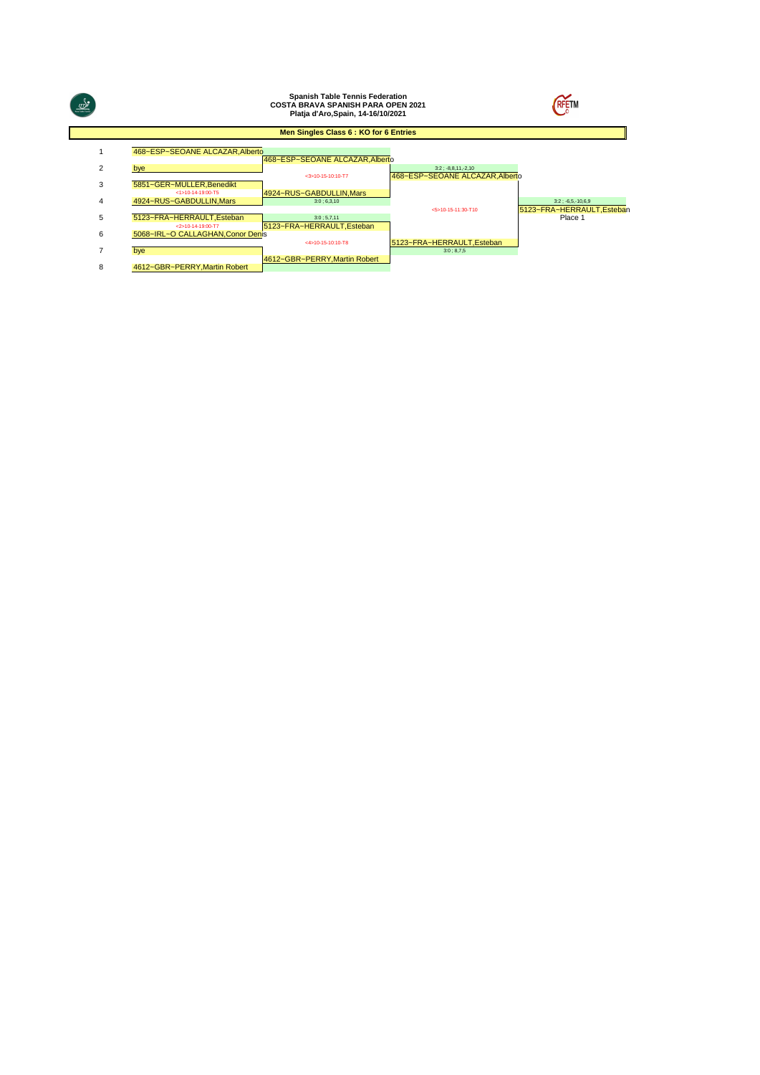|                |                                                | <b>Spanish Table Tennis Federation</b><br><b>COSTA BRAVA SPANISH PARA OPEN 2021</b><br>Platja d'Aro, Spain, 14-16/10/2021 | <b>RFETM</b>                                          |                                       |
|----------------|------------------------------------------------|---------------------------------------------------------------------------------------------------------------------------|-------------------------------------------------------|---------------------------------------|
|                |                                                | Men Singles Class 6 : KO for 6 Entries                                                                                    |                                                       |                                       |
|                | 468~ESP~SEOANE ALCAZAR, Alberto                | 468~ESP~SEOANE ALCAZAR, Alberto                                                                                           |                                                       |                                       |
| 2              | bye                                            | $<$ 3>10-15-10:10-T7                                                                                                      | $3:2:-8,8,11,-2,10$<br>468~ESP~SEOANE ALCAZAR.Alberto |                                       |
| 3              | 5851~GER~MULLER, Benedikt<br><1>10-14-19:00-T5 | 4924~RUS~GABDULLIN.Mars                                                                                                   |                                                       |                                       |
| 4              | 4924~RUS~GABDULLIN, Mars                       | 3:0;6,3,10                                                                                                                |                                                       | $3:2: -6.5, -10.6, 9$                 |
| 5              | 5123~FRA~HERRAULT.Esteban<br><2>10-14-19:00-T7 | 3:0; 5,7,11<br>5123~FRA~HERRAULT.Esteban                                                                                  | <5>10-15-11:30-T10                                    | 5123~FRA~HERRAULT, Esteban<br>Place 1 |
| 6              | 5068~IRL~O CALLAGHAN, Conor Denis              | $<$ 4>10-15-10:10-T8                                                                                                      | 5123~FRA~HERRAULT.Esteban                             |                                       |
| $\overline{7}$ | bye                                            |                                                                                                                           | 3:0:8.7.5                                             |                                       |
| 8              | 4612~GBR~PERRY.Martin Robert                   | 4612~GBR~PERRY, Martin Robert                                                                                             |                                                       |                                       |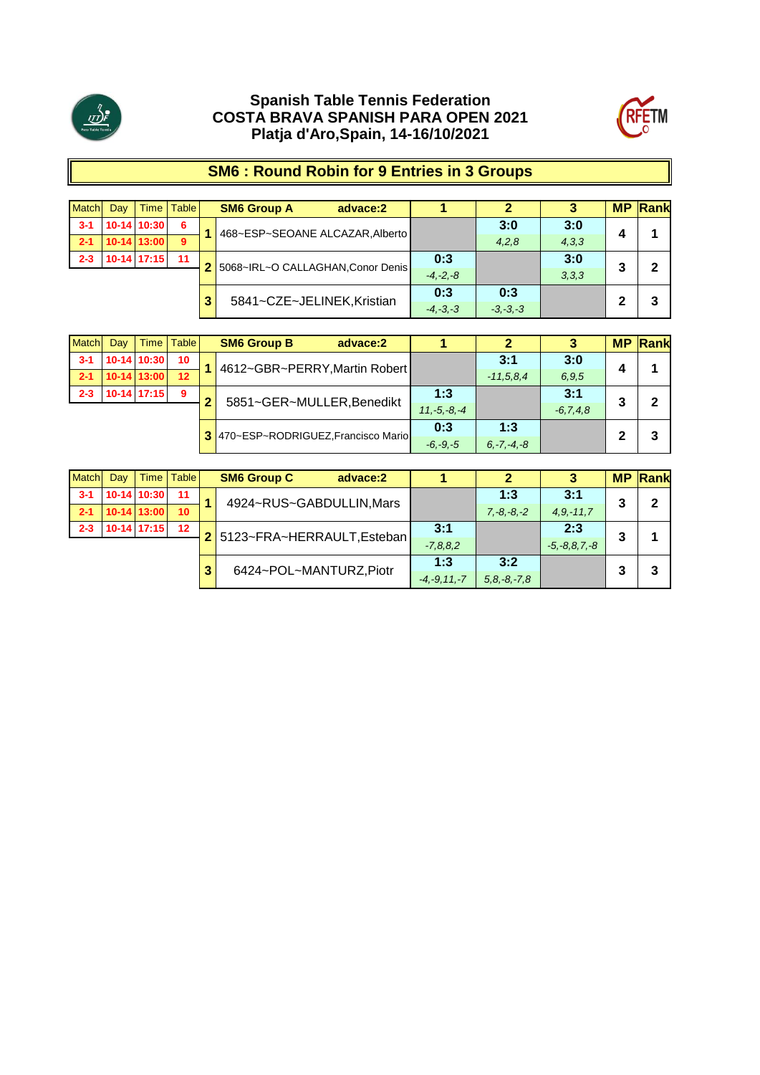



# **SM6 : Round Robin for 9 Entries in 3 Groups**

| <b>Match</b>               | Dav          | Time I        | <b>Table</b> |                | <b>SM6 Group A</b>                | advace:2 |              | 2     | 3     | <b>MP</b> | $\mathsf{Rank}$ |
|----------------------------|--------------|---------------|--------------|----------------|-----------------------------------|----------|--------------|-------|-------|-----------|-----------------|
| $3 - 1$                    |              | 10-14 10:30   | 6            |                | 468~ESP~SEOANE ALCAZAR, Alberto   |          |              | 3:0   | 3:0   |           |                 |
| $2 - 1$                    |              | $10-14$ 13:00 | $\mathbf{9}$ |                |                                   |          |              | 4,2,8 | 4,3,3 |           |                 |
| $2 - 3$                    |              | $10-14$ 17:15 | 11           | 2 <sup>1</sup> | 5068~IRL~O CALLAGHAN, Conor Denis |          | 0:3          |       | 3:0   | 3         | 2               |
|                            |              |               |              |                |                                   |          | $-4. -2. -8$ |       | 3,3,3 |           |                 |
|                            |              |               |              |                |                                   |          | 0:3          | 0:3   |       | າ         | 3               |
| 5841~CZE~JELINEK, Kristian | $-4, -3, -3$ | $-3, -3, -3$  |              |                |                                   |          |              |       |       |           |                 |

| <b>Match</b> | Dav | Time          | <b>Table</b>    | <b>SM6 Group B</b><br>advace:2       |                  |                 |               | <b>MP</b> | Rank |
|--------------|-----|---------------|-----------------|--------------------------------------|------------------|-----------------|---------------|-----------|------|
| $3 - 1$      |     | 10-14 10:30   | 10 <sup>°</sup> | 4612~GBR~PERRY, Martin Robert        |                  | 3:1             | 3:0           | Д         |      |
| $2 - 1$      |     | 10-14 13:00   | 12              |                                      |                  | $-11.5.8.4$     | 6.9.5         |           |      |
| $2 - 3$      |     | $10-14$ 17:15 | 9               | 5851~GER~MULLER, Benedikt            | 1:3              |                 | 3:1           | 3         | 2    |
|              |     |               |                 |                                      | $11. -5. -8. -4$ |                 | $-6, 7, 4, 8$ |           |      |
|              |     |               |                 | 3 470~ESP~RODRIGUEZ, Francisco Mario | 0:3              | 1:3             |               | 2         | 3    |
|              |     |               |                 |                                      | $-6, -9, -5$     | $6, -7, -4, -8$ |               |           |      |

| <b>Match</b> | Dav | Time          | <b>Table</b>    |   | <b>SM6 Group C</b><br>advace:2 |                   |                 | 3                  | <b>MP</b> | <b>Rank</b> |
|--------------|-----|---------------|-----------------|---|--------------------------------|-------------------|-----------------|--------------------|-----------|-------------|
| $3 - 1$      |     | 10-14 10:30   | 11              |   | 4924~RUS~GABDULLIN, Mars       |                   | 1:3             | 3:1                | 3         | $\mathbf 2$ |
| $2 - 1$      |     | 10-14 13:00   | 10 <sup>°</sup> |   |                                |                   | $7, -8, -8, -2$ | $4.9 - 11.7$       |           |             |
| $2 - 3$      |     | $10-14$ 17:15 | 12              |   | 2 5123~FRA~HERRAULT, Esteban   | 3:1               |                 | 2:3                | 3         |             |
|              |     |               |                 |   |                                | $-7,8,8,2$        |                 | $-5, -8, 8, 7, -8$ |           |             |
|              |     |               |                 | 3 | 6424~POL~MANTURZ,Piotr         | 1:3               | 3:2             |                    | 3         | 3           |
|              |     |               |                 |   | $-4, -9, 11, -7$               | $5, 8, -8, -7, 8$ |                 |                    |           |             |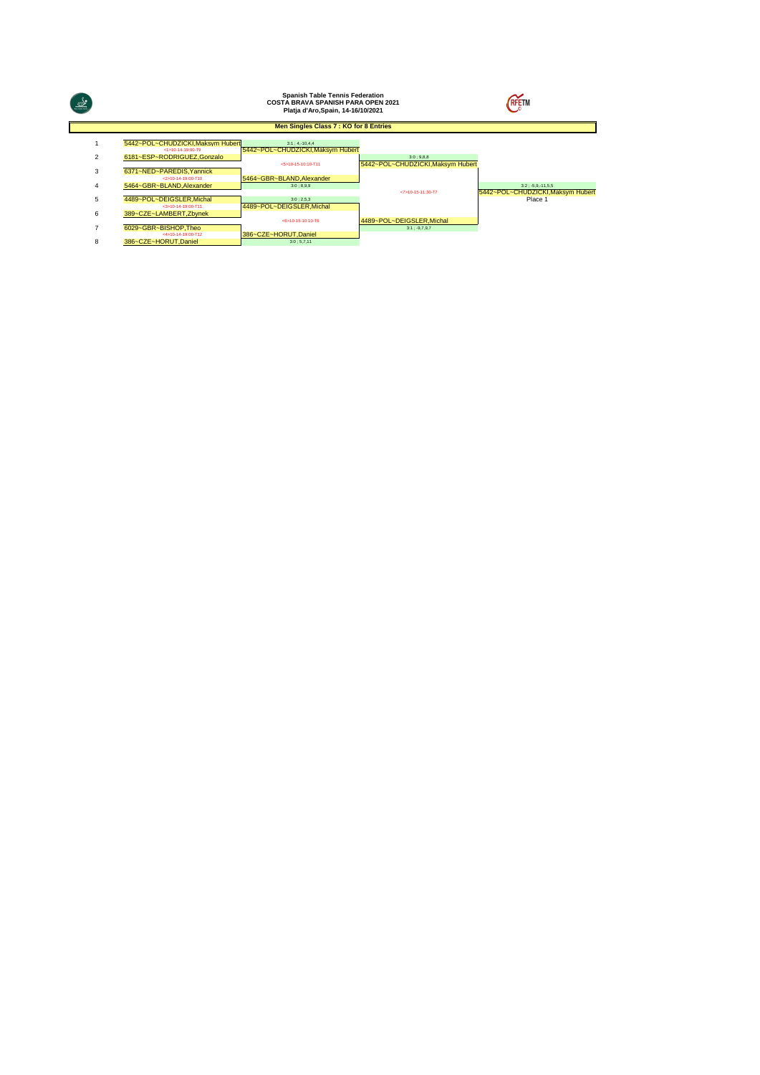| ♨              |                                                       | <b>Spanish Table Tennis Federation</b><br><b>COSTA BRAVA SPANISH PARA OPEN 2021</b><br>Platja d'Aro, Spain, 14-16/10/2021 | <b>RFETM</b>                                  |                                                          |
|----------------|-------------------------------------------------------|---------------------------------------------------------------------------------------------------------------------------|-----------------------------------------------|----------------------------------------------------------|
|                |                                                       | Men Singles Class 7 : KO for 8 Entries                                                                                    |                                               |                                                          |
|                | 5442~POL~CHUDZICKI.Maksym Hubert<br><1s10-14-19:00-T9 | $3:1:4,-10,4,4$<br>5442~POL~CHUDZICKI, Maksym Hubert                                                                      |                                               |                                                          |
| $\overline{2}$ | 6181~ESP~RODRIGUEZ.Gonzalo                            | <5>10-15-10:10-T11                                                                                                        | 3:0:9.8.8<br>5442~POL~CHUDZICKI.Maksym Hubert |                                                          |
| 3              | 6371~NED~PAREDIS.Yannick<br><2>10-14-19:00-T10        | 5464~GBR~BLAND.Alexander                                                                                                  |                                               |                                                          |
| 4              | 5464~GBR~BLAND.Alexander                              | 3:0; 8,9,9                                                                                                                | <7>10-15-11:30-T7                             | $3:2: -5.9 - 11.5.5$<br>5442~POL~CHUDZICKI.Maksym Hubert |
| 5              | 4489~POL~DEIGSLER, Michal<br><3>10-14-19:00-T11       | 3:0:2.5.3<br>4489~POL~DEIGSLER.Michal                                                                                     |                                               | Place 1                                                  |
| 6              | 389~CZE~LAMBERT.Zbynek                                | <6>10-15-10:10-T6                                                                                                         | 4489~POL~DEIGSLER.Michal                      |                                                          |
|                | 6029~GBR~BISHOP.Theo<br><4>10-14-19:00-T12            |                                                                                                                           | $3:1:-9.7,9.7$                                |                                                          |
| 8              | 386~CZE~HORUT.Daniel                                  | 386~CZE~HORUT.Daniel<br>3:0;5,7,11                                                                                        |                                               |                                                          |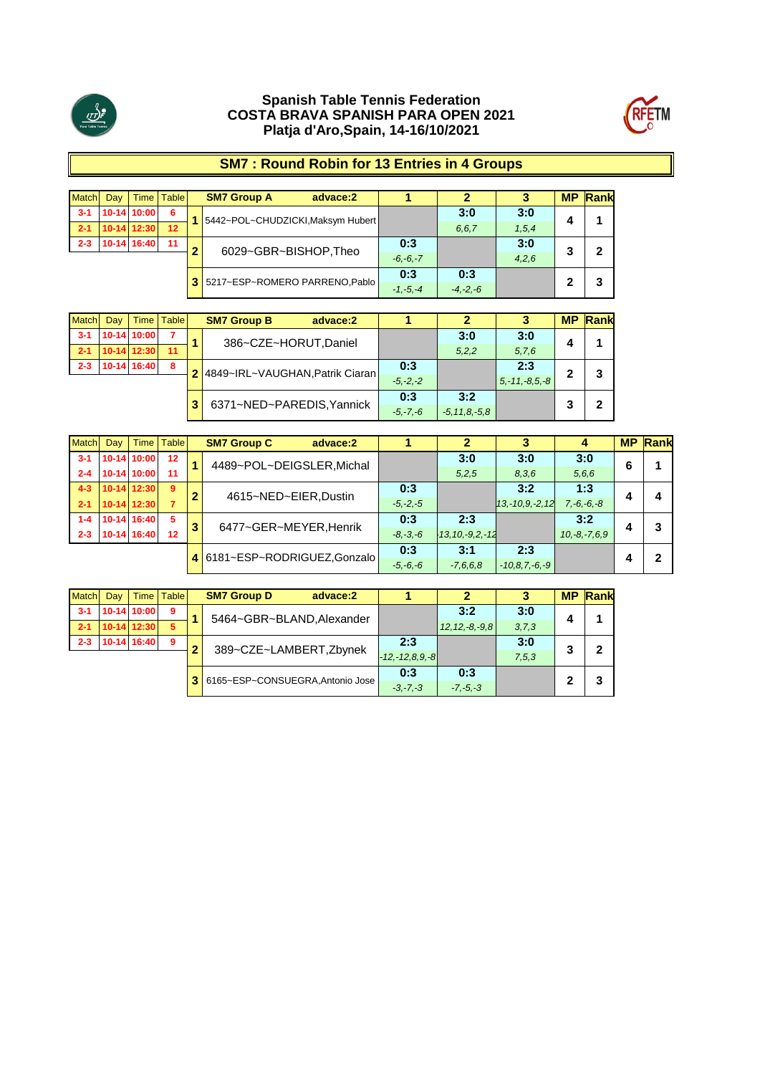



# **SM7 : Round Robin for 13 Entries in 4 Groups**

| <b>Match</b> | Day | Time          | <b>Table</b>    |           | <b>SM7 Group A</b><br>advace:2    |              |              |         | <b>MP</b> | Rank |
|--------------|-----|---------------|-----------------|-----------|-----------------------------------|--------------|--------------|---------|-----------|------|
| $3 - 1$      |     | 10-14 10:00   | 6               |           | 5442~POL~CHUDZICKI, Maksym Hubert |              | 3:0          | 3:0     |           |      |
| $2 - 1$      |     | $10-14$ 12:30 | 12 <sup>2</sup> |           |                                   |              | 6.6.7        | 1, 5, 4 | 4         |      |
| $2 - 3$      |     | 10-14 16:40   | 11              | $\bullet$ |                                   | 0:3          |              | 3:0     |           |      |
|              |     |               |                 |           | 6029~GBR~BISHOP, Theo             | $-6, -6, -7$ |              | 4,2,6   |           |      |
|              |     |               |                 |           | 3 5217~ESP~ROMERO PARRENO, Pablo  | 0:3          | 0:3          |         |           |      |
|              |     |               |                 |           |                                   | $-1, -5, -4$ | $-4, -2, -6$ |         |           |      |

| <b>Match</b> | Dav | Time I      | <b>Table</b> | <b>SM7 Group B</b><br>advace:2    |              |                 |                     | <b>MP</b> | Rank |
|--------------|-----|-------------|--------------|-----------------------------------|--------------|-----------------|---------------------|-----------|------|
| $3 - 1$      |     | 10-14 10:00 |              | 386~CZE~HORUT, Daniel             |              | 3:0             | 3:0                 |           |      |
| $2 - 1$      |     | 10-14 12:30 | 11           |                                   |              | 5,2,2           | 5,7,6               |           |      |
| $2 - 3$      |     | 10-14 16:40 | 8            | 2 4849~IRL~VAUGHAN, Patrik Ciaran | 0:3          |                 | 2:3                 |           |      |
|              |     |             |              |                                   | $-5. -2. -2$ |                 | $5, -11, -8, 5, -8$ |           |      |
|              |     |             |              | 6371~NED~PAREDIS, Yannick         | 0:3          | 3:2             |                     |           |      |
|              |     |             |              |                                   | $-5, -7, -6$ | $-5.11.8 - 5.8$ |                     |           |      |

| <b>Match</b> | Day |               | Time   Table |   | <b>SM7 Group C</b><br>advace:2 |              |                     | c                   |                 | <b>MP</b> | Rank |
|--------------|-----|---------------|--------------|---|--------------------------------|--------------|---------------------|---------------------|-----------------|-----------|------|
| $3 - 1$      |     | 10-14 10:00   | 12           |   | 4489~POL~DEIGSLER, Michal      |              | 3:0                 | 3:0                 | 3:0             | 6         |      |
| $2 - 4$      |     | 10-14 10:00   | 11           |   |                                |              | 5,2,5               | 8,3,6               | 5,6,6           |           |      |
| $4 - 3$      |     | $10-14$ 12:30 | 9            | 2 | 4615~NED~EIER, Dustin          | 0:3          |                     | 3:2                 | 1:3             |           |      |
| $2 - 1$      |     | 10-14 12:30   |              |   |                                | $-5, -2, -5$ |                     | $13,-10,9,-2,12$    | $7, -6, -6, -8$ | 4         | 4    |
| $1 - 4$      |     | 10-14 16:40   | -5           | 3 | 6477~GER~MEYER, Henrik         | 0:3          | 2:3                 |                     | 3:2             |           | 3    |
| $2 - 3$      |     | 10-14 16:40   | 12           |   |                                | $-8, -3, -6$ | $-13.10 - 9.2 - 12$ |                     | $10,-8,-7,6,9$  | 4         |      |
|              |     |               |              |   | 6181~ESP~RODRIGUEZ,Gonzalo     | 0:3          | 3:1                 | 2:3                 |                 |           | 2    |
|              |     |               |              |   |                                | $-5, -6, -6$ | $-7,6,6,8$          | $-10, 8, 7, -6, -9$ |                 |           |      |

| Match   | Dav | Time        | <b>Table</b> |   | <b>SM7 Group D</b> | advace:2                         |                      | 2                   |         | <b>MP</b> | Rank |
|---------|-----|-------------|--------------|---|--------------------|----------------------------------|----------------------|---------------------|---------|-----------|------|
| $3 - 1$ |     | 10-14 10:00 | 9            |   |                    | 5464~GBR~BLAND, Alexander        |                      | 3:2                 | 3:0     | 4         |      |
| $2 - 1$ |     | 10-14 12:30 | 5            |   |                    |                                  |                      | $12, 12, -8, -9, 8$ | 3, 7, 3 |           |      |
| $2 - 3$ |     | 10-14 16:40 | 9            | G |                    |                                  | 2:3                  |                     | 3:0     | 3         | 2    |
|         |     |             |              |   |                    | 389~CZE~LAMBERT, Zbynek          | $-12, -12, 8, 9, -8$ |                     | 7,5,3   |           |      |
|         |     |             |              |   |                    | 6165~ESP~CONSUEGRA, Antonio Jose | 0:3                  | 0:3                 |         | ົ         | 3    |
|         |     |             |              |   |                    |                                  | $-3, -7, -3$         | $-7, -5, -3$        |         |           |      |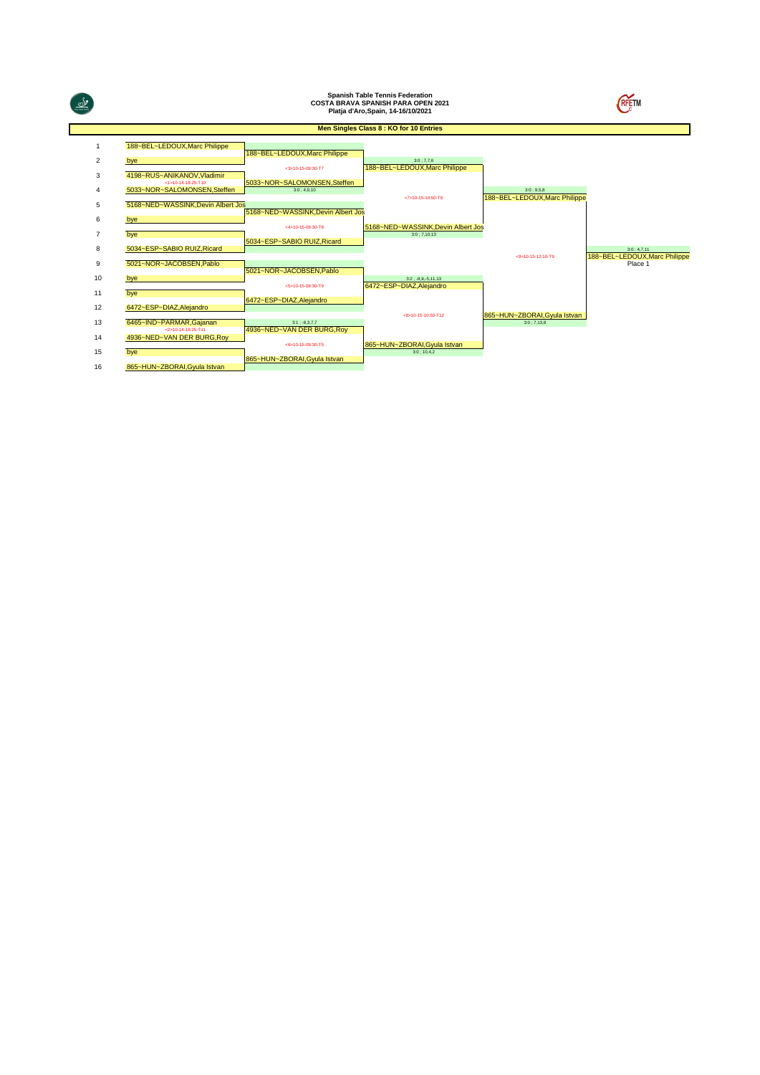|                |                                                      |                                            | <b>Spanish Table Tennis Federation</b><br><b>COSTA BRAVA SPANISH PARA OPEN 2021</b><br>Platja d'Aro, Spain, 14-16/10/2021 |                                            |                                          |
|----------------|------------------------------------------------------|--------------------------------------------|---------------------------------------------------------------------------------------------------------------------------|--------------------------------------------|------------------------------------------|
|                |                                                      |                                            | Men Singles Class 8 : KO for 10 Entries                                                                                   |                                            |                                          |
|                | 188~BEL~LEDOUX, Marc Philippe                        |                                            |                                                                                                                           |                                            |                                          |
| 2              | bye                                                  | 188~BEL~LEDOUX.Marc Philippe               | 3:0:7.7.6                                                                                                                 |                                            |                                          |
| 3              | 4198~RUS~ANIKANOV,Vladimir                           | $<$ 3>10-15-09:30-T7                       | 188~BEL~LEDOUX, Marc Philippe                                                                                             |                                            |                                          |
|                | $<1>10-14-18:25-T10$<br>5033~NOR~SALOMONSEN, Steffen | 5033~NOR~SALOMONSEN, Steffen<br>3:0:4.9.10 |                                                                                                                           | 3:0:9.5.8                                  |                                          |
| 5              | 5168~NED~WASSINK, Devin Albert Jos                   |                                            | $<7>10-15-10:50-T6$                                                                                                       | 188~BEL~LEDOUX, Marc Philippe              |                                          |
| 6              | bve                                                  | 5168~NED~WASSINK.Devin Albert Jos          |                                                                                                                           |                                            |                                          |
| $\overline{7}$ | bve                                                  | <4>10-15-09:30-T8                          | 5168~NED~WASSINK, Devin Albert Jos<br>3:0:7.10.13                                                                         |                                            |                                          |
| 8              | 5034~ESP~SABIO RUIZ, Ricard                          | 5034~ESP~SABIO RUIZ.Ricard                 |                                                                                                                           |                                            | 3:0;4,7,11                               |
| 9              | 5021~NOR~JACOBSEN, Pablo                             |                                            |                                                                                                                           | <9>10-15-12:10-T9                          | 188~BEL~LEDOUX, Marc Philippe<br>Place 1 |
| 10             | bye                                                  | 5021~NOR~JACOBSEN.Pablo                    | $3:2: -8.9, -5.11, 13$                                                                                                    |                                            |                                          |
| 11             | bve                                                  | $<5>10-15-09:30-T9$                        | 6472~ESP~DIAZ, Alejandro                                                                                                  |                                            |                                          |
| 12             | 6472~ESP~DIAZ, Alejandro                             | 6472~ESP~DIAZ, Alejandro                   |                                                                                                                           |                                            |                                          |
| 13             | 6465~IND~PARMAR, Gajanan                             | $3:1$ ; -8,3,7,7                           | $<8>10-15-10:50-T12$                                                                                                      | 865~HUN~ZBORAI, Gyula Istvan<br>3:0:7.13.8 |                                          |
| 14             | $<$ 2>10-14-18:25-T11<br>4936~NED~VAN DER BURG, Roy  | 4936~NED~VAN DER BURG, Roy                 |                                                                                                                           |                                            |                                          |
| 15             | bve                                                  | $<6>10-15-09:30-T5$                        | 865~HUN~ZBORAI, Gyula Istvan<br>3:0:10.4.2                                                                                |                                            |                                          |
| 16             | 865~HUN~ZBORAI.Gvula Istvan                          | 865~HUN~ZBORAI, Gyula Istvan               |                                                                                                                           |                                            |                                          |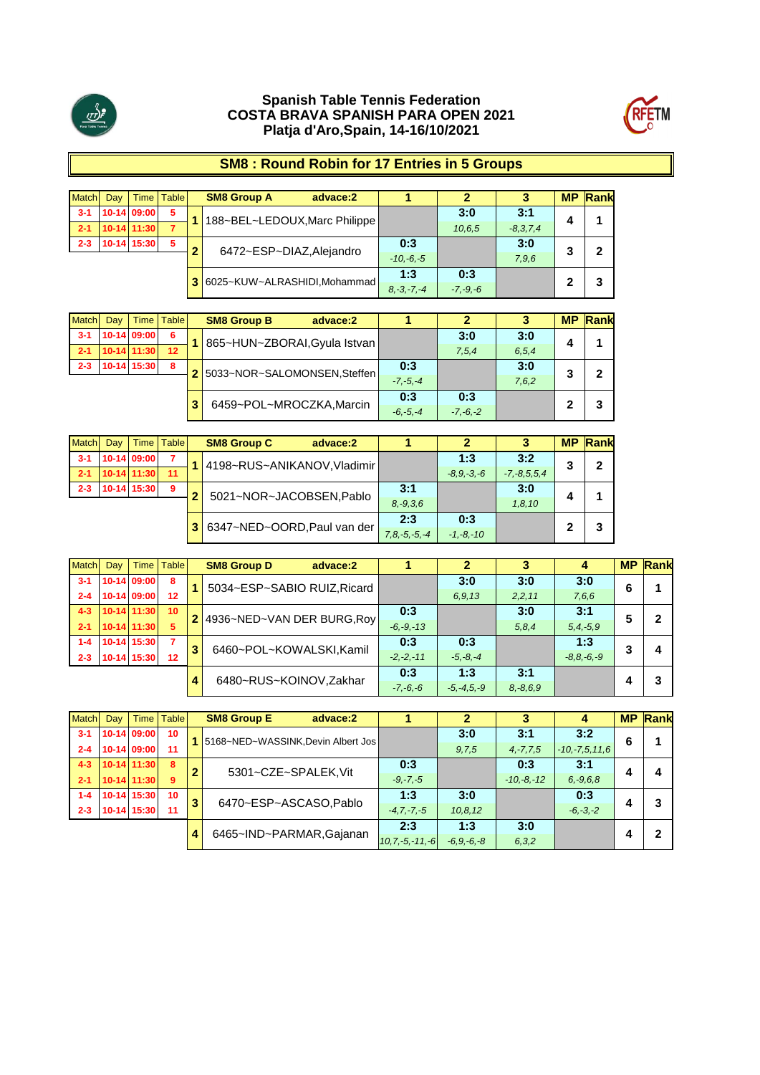



# **SM8 : Round Robin for 17 Entries in 5 Groups**

| Match   | Day | <b>Time</b> | <b>Table</b> |           | <b>SM8 Group A</b><br>advace:2 |  |                 |              |            | <b>MP</b> | Rank |
|---------|-----|-------------|--------------|-----------|--------------------------------|--|-----------------|--------------|------------|-----------|------|
| $3 - 1$ |     | 10-14 09:00 | 5            |           | 188~BEL~LEDOUX, Marc Philippe  |  |                 | 3:0          | 3:1        |           |      |
| $2 - 1$ |     | 10-14 11:30 | 7            |           |                                |  |                 | 10,6,5       | $-8,3,7,4$ | 4         |      |
| $2 - 3$ |     | 10-14 15:30 | 5            | $\bullet$ | 6472~ESP~DIAZ, Alejandro       |  | 0:3             |              | 3:0        | 3         | 2    |
|         |     |             |              |           |                                |  |                 |              | 7,9,6      |           |      |
|         |     |             |              |           | 6025~KUW~ALRASHIDI,Mohammad    |  | 1:3             | 0:3          |            | 2         | 3    |
|         |     |             |              |           |                                |  | $8, -3, -7, -4$ | $-7, -9, -6$ |            |           |      |

| <b>Match</b> | Dav | Time l      | <b>Table</b> | <b>SM8 Group B</b><br>advace:2 |              |              |         | <b>MP</b> | Rank |
|--------------|-----|-------------|--------------|--------------------------------|--------------|--------------|---------|-----------|------|
| $3 - 1$      |     | 10-14 09:00 | 6            | 865~HUN~ZBORAI, Gyula Istvan   |              | 3:0          | 3:0     |           |      |
| $2 - 1$      |     | 10-14 11:30 | 12           |                                |              | 7,5,4        | 6, 5, 4 |           |      |
| $2 - 3$      |     | 10-14 15:30 | 8            | 2 5033~NOR~SALOMONSEN, Steffen | 0:3          |              | 3:0     |           |      |
|              |     |             |              |                                | $-7. -5. -4$ |              | 7,6,2   |           |      |
|              |     |             |              | 6459~POL~MROCZKA, Marcin       | 0:3          | 0:3          |         |           |      |
|              |     |             |              |                                | $-6, -5, -4$ | $-7, -6, -2$ |         |           |      |

| Match   | Day | Time        | <b>Table</b> |                | <b>SM8 Group C</b>          | advace:2 |                    |                |                   | <b>MP</b> | Rank |
|---------|-----|-------------|--------------|----------------|-----------------------------|----------|--------------------|----------------|-------------------|-----------|------|
| $3 - 1$ |     | 10-14 09:00 |              |                | 4198~RUS~ANIKANOV, Vladimir |          |                    | 1:3            | 3:2               | 3         | 2    |
| $2 - 1$ |     | 10-14 11:30 | 11           |                |                             |          |                    | $-8.9 - 3 - 6$ | $-7, -8, 5, 5, 4$ |           |      |
| $2 - 3$ |     | 10-14 15:30 | 9            | $\overline{2}$ | 5021~NOR~JACOBSEN, Pablo    |          | 3:1                |                | 3:0               |           |      |
|         |     |             |              |                |                             |          | $8, -9, 3, 6$      |                | 1, 8, 10          | 4         |      |
|         |     |             |              |                |                             |          | 2:3                | 0:3            |                   | 2         |      |
|         |     |             |              |                | 6347~NED~OORD, Paul van der |          | $7, 8, -5, -5, -4$ | $-1, -8, -10$  |                   |           | 3    |

| <b>Match</b> | Day | Time          | Table           |   | <b>SM8 Group D</b><br>advace:2 |               |                 |               |               | <b>MP</b> | Rank |
|--------------|-----|---------------|-----------------|---|--------------------------------|---------------|-----------------|---------------|---------------|-----------|------|
| $3 - 1$      |     | 10-14 09:00   | 8               |   | 5034~ESP~SABIO RUIZ, Ricard    |               | 3:0             | 3:0           | 3:0           | 6         |      |
| $2 - 4$      |     | 10-14 09:00   | 12              |   |                                |               | 6,9,13          | 2, 2, 11      | 7,6,6         |           |      |
| $4 - 3$      |     | 10-14 11:30   | 10 <sup>°</sup> |   | 4936~NED~VAN DER BURG, Roy     | 0:3           |                 | 3:0           | 3:1           | 5         | 2    |
| $2 - 1$      |     | $10-14$ 11:30 | 5               |   |                                | $-6, -9, -13$ |                 | 5, 8, 4       | $5, 4, -5, 9$ |           |      |
| $1 - 4$      |     | 10-14 15:30   | 7               | 3 | 6460~POL~KOWALSKI,Kamil        | 0:3           | 0:3             |               | 1:3           | 3         | 4    |
| $2 - 3$      |     | 10-14 15:30   | 12              |   |                                | $-2, -2, -11$ | $-5, -8, -4$    |               | $-8.8,-6,-9$  |           |      |
|              |     |               |                 |   | 6480~RUS~KOINOV, Zakhar        | 0:3           | 1:3             | 3:1           |               |           | 3    |
|              |     |               |                 |   |                                | $-7, -6, -6$  | $-5, -4, 5, -9$ | $8, -8, 6, 9$ |               |           |      |

| Match   | Day |               | Time   Table |   | <b>SM8 Group E</b><br>advace:2     |                      |              |               | 4                   |   | <b>MP Rank</b> |
|---------|-----|---------------|--------------|---|------------------------------------|----------------------|--------------|---------------|---------------------|---|----------------|
| $3 - 1$ |     | 10-14 09:00   | 10           |   | 5168~NED~WASSINK, Devin Albert Jos |                      | 3:0          | 3:1           | 3:2                 | 6 |                |
| $2 - 4$ |     | 10-14 09:00   | 11           |   |                                    |                      | 9.7.5        | $4, -7, 7, 5$ | $-10, -7, 5, 11, 6$ |   |                |
| $4 - 3$ |     | $10-14$ 11:30 | 8            | 2 | 5301~CZE~SPALEK, Vit               | 0:3                  |              | 0:3           | 3:1                 | 4 | Δ              |
| $2 - 1$ |     | 10-14 11:30   | 9            |   |                                    | $-9, -7, -5$         |              | $-10,-8,-12$  | $6, -9, 6, 8$       |   |                |
| $1 - 4$ |     | 10-14 15:30   | 10           | 3 | 6470~ESP~ASCASO,Pablo              | 1:3                  | 3:0          |               | 0:3                 |   | 3              |
| $2 - 3$ |     | 10-14 15:30   | 11           |   |                                    | $-4, 7, -7, -5$      | 10.8.12      |               | $-6, -3, -2$        |   |                |
|         |     |               |              | 4 | 6465~IND~PARMAR, Gajanan           | 2:3                  | 1:3          | 3:0           |                     |   | 2              |
|         |     |               |              |   |                                    | $10, 7, -5, -11, -6$ | $-6.9,-6,-8$ | 6, 3, 2       |                     |   |                |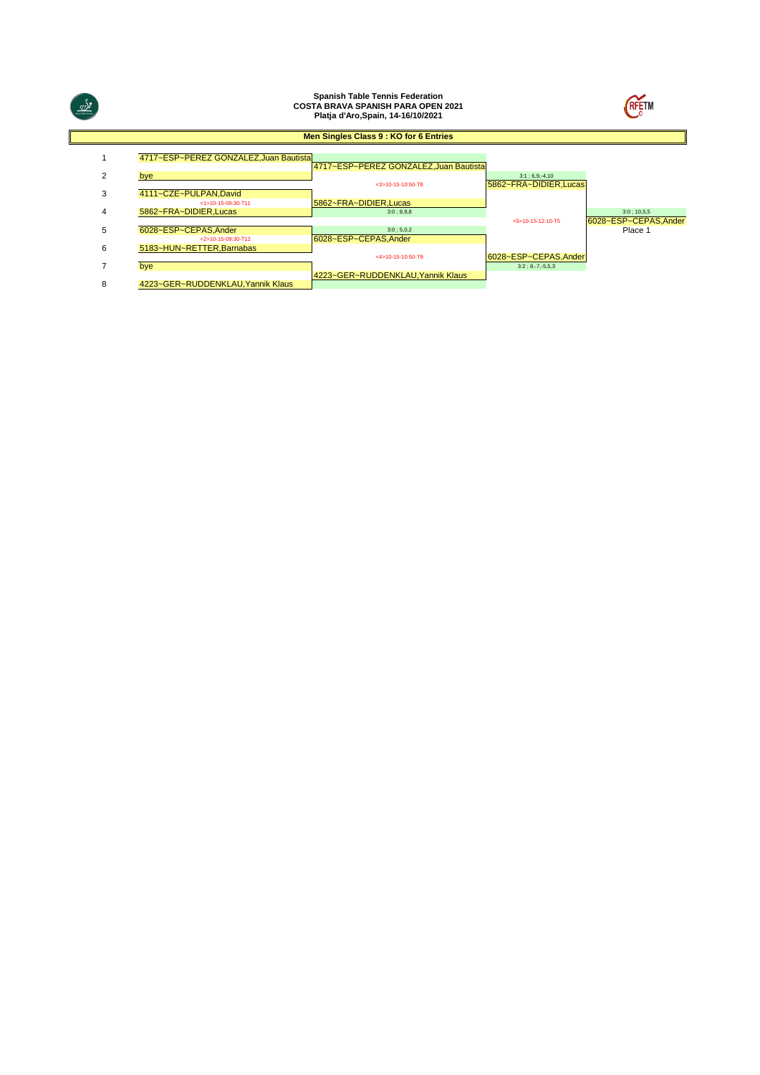| $\frac{d}{dx}$ |                                                 | <b>Spanish Table Tennis Federation</b><br><b>COSTA BRAVA SPANISH PARA OPEN 2021</b><br>Platja d'Aro, Spain, 14-16/10/2021 |                                            | <b>RFETM</b>          |
|----------------|-------------------------------------------------|---------------------------------------------------------------------------------------------------------------------------|--------------------------------------------|-----------------------|
|                |                                                 | Men Singles Class 9 : KO for 6 Entries                                                                                    |                                            |                       |
|                | 4717~ESP~PEREZ GONZALEZ, Juan Bautista          | 4717~ESP~PEREZ GONZALEZ, Juan Bautista                                                                                    |                                            |                       |
| 2              | bye                                             |                                                                                                                           | $3:1:6,9,-4,10$                            |                       |
| 3              | 4111~CZE~PULPAN.David<br><1>10-15-09:30-T11     | $<$ 3>10-15-10:50-T8<br>5862~FRA~DIDIER.Lucas                                                                             | 5862~FRA~DIDIER, Lucas                     |                       |
| 4              | 5862~FRA~DIDIER, Lucas                          | 3:0; 8,9,8                                                                                                                |                                            | $3:0$ ; 10,5,5        |
|                |                                                 |                                                                                                                           | <5>10-15-12:10-T5                          | 6028~ESP~CEPAS, Ander |
| 5              | 6028~ESP~CEPAS.Ander                            | 3:0; 5,0,2                                                                                                                |                                            | Place 1               |
| 6              | <2>10-15-09:30-T12<br>5183~HUN~RETTER, Barnabas | 6028~ESP~CEPAS.Ander                                                                                                      |                                            |                       |
|                | bye                                             | <4>10-15-10:50-T9                                                                                                         | 6028~ESP~CEPAS, Ander<br>$3:2:8,-7,-5,5,3$ |                       |
| 8              | 4223~GER~RUDDENKLAU, Yannik Klaus               | 4223~GER~RUDDENKLAU, Yannik Klaus                                                                                         |                                            |                       |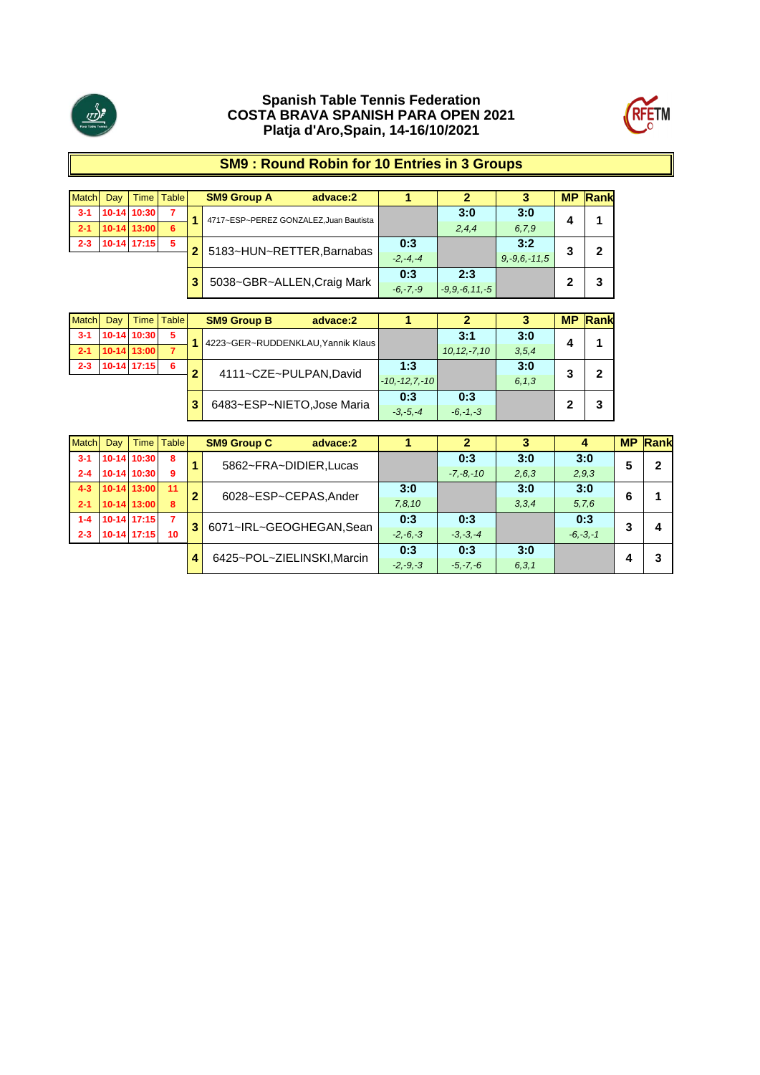



# **SM9 : Round Robin for 10 Entries in 3 Groups**

| <b>Match</b> | Dav | <b>Time</b>   | <b>Table</b> | <b>SM9 Group A</b><br>advace:2        |              |                     |                    | <b>MP</b> | Rank |
|--------------|-----|---------------|--------------|---------------------------------------|--------------|---------------------|--------------------|-----------|------|
| $3 - 1$      |     | 10-14 10:30   |              | 4717~ESP~PEREZ GONZALEZ.Juan Bautista |              | 3:0                 | 3:0                |           |      |
| $2 - 1$      |     | 10-14 13:00   | 6            |                                       |              | 2,4,4               | 6.7.9              | 4         |      |
| $2 - 3$      |     | $10-14$ 17:15 | 5            | 5183~HUN~RETTER, Barnabas             | 0:3          |                     | 3:2                | o         |      |
|              |     |               |              |                                       | $-2. -4. -4$ |                     | $9, -9, 6, -11, 5$ |           |      |
|              |     |               |              |                                       | 0:3          | 2:3                 |                    |           |      |
|              |     |               |              | 5038~GBR~ALLEN, Craig Mark            | $-6, -7, -9$ | $-9, 9, -6, 11, -5$ |                    |           |      |

| <b>Match</b> | Day | <b>Time</b>   | <b>Table</b> |                            | <b>SM9 Group B</b><br>advace:2    |              |                 |                  |         | <b>MP</b> | Rank |
|--------------|-----|---------------|--------------|----------------------------|-----------------------------------|--------------|-----------------|------------------|---------|-----------|------|
| $3 - 1$      |     | 10-14 10:30   | 5            |                            | 4223~GER~RUDDENKLAU, Yannik Klaus |              |                 | 3:1              | 3:0     |           |      |
| $-2-1$       |     | 10-14 13:00   | 7            |                            |                                   |              |                 | $10, 12, -7, 10$ | 3,5,4   |           |      |
| $2 - 3$      |     | $10-14$ 17:15 | 6            | $\bullet$                  |                                   |              | 1:3             |                  | 3:0     |           |      |
|              |     |               |              |                            | 4111~CZE~PULPAN,David             |              | $-10,-12,7,-10$ |                  | 6, 1, 3 |           |      |
|              |     |               |              | 3                          |                                   |              | 0:3             | 0:3              |         |           |      |
|              |     |               |              | 6483~ESP~NIETO, Jose Maria |                                   | $-3, -5, -4$ | $-6,-1,-3$      |                  |         |           |      |

| <b>Match</b> | Day |               | Time   Table   |              | <b>SM9 Group C</b><br>advace:2 |            |               |         |              | <b>MP</b> | Rank         |
|--------------|-----|---------------|----------------|--------------|--------------------------------|------------|---------------|---------|--------------|-----------|--------------|
| $3 - 1$      |     | 10-14 10:30   | 8              |              | 5862~FRA~DIDIER, Lucas         |            | 0:3           | 3:0     | 3:0          | 5         | $\mathbf{2}$ |
| $2 - 4$      |     | 10-14 10:30   | 9              |              |                                |            | $-7, -8, -10$ | 2, 6, 3 | 2,9,3        |           |              |
| $4 - 3$      |     | $10-14$ 13:00 | 11             | $\mathbf{2}$ | 6028~ESP~CEPAS, Ander          | 3:0        |               | 3:0     | 3:0          | 6         |              |
| $2 - 1$      |     | 10-14 13:00   | 8              |              |                                | 7,8,10     |               | 3,3,4   | 5, 7, 6      |           |              |
| $1 - 4$      |     | 10-14 17:15   | $\overline{7}$ | 3            | 6071~IRL~GEOGHEGAN, Sean       | 0:3        | 0:3           |         | 0:3          | 3         | 4            |
| $2 - 3$      |     | 10-14 17:15   | 10             |              |                                | $-2,-6,-3$ | $-3, -3, -4$  |         | $-6, -3, -1$ |           |              |
|              |     |               |                |              | 6425~POL~ZIELINSKI, Marcin     | 0:3        | 0:3           | 3:0     |              |           | 3            |
|              |     | 4             |                | $-2, -9, -3$ | $-5, -7, -6$                   | 6, 3, 1    |               |         |              |           |              |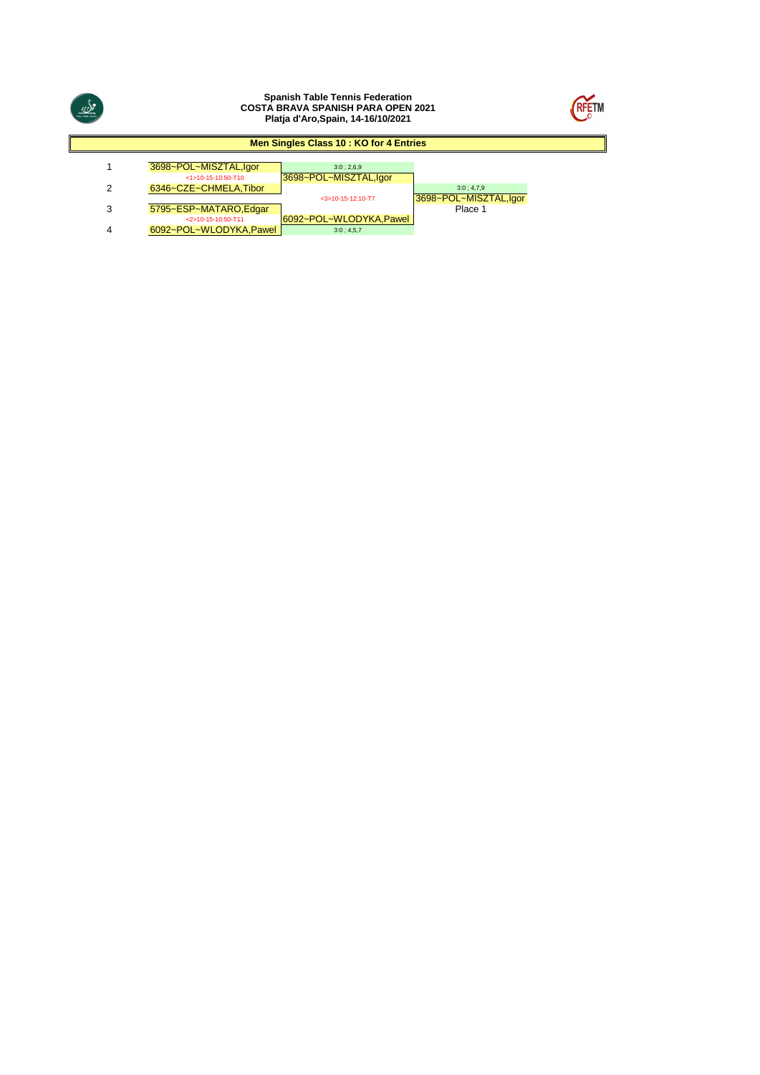



### **Men Singles Class 10 : KO for 4 Entries**

| 3698~POL~MISZTAL,lgor  | 3:0:2.6.9              |                       |
|------------------------|------------------------|-----------------------|
| $<1>10-15-10:50-T10$   | 3698~POL~MISZTAL,Igor  |                       |
| 6346~CZE~CHMELA.Tibor  |                        | 3:0:4.7.9             |
|                        | $<$ 3>10-15-12:10-T7   | 3698~POL~MISZTAL,lgor |
| 5795~ESP~MATARO, Edgar |                        | Place 1               |
| <2>10-15-10:50-T11     | 6092~POL~WLODYKA.Pawel |                       |
| 6092~POL~WLODYKA.Pawel | 3:0:4.5.7              |                       |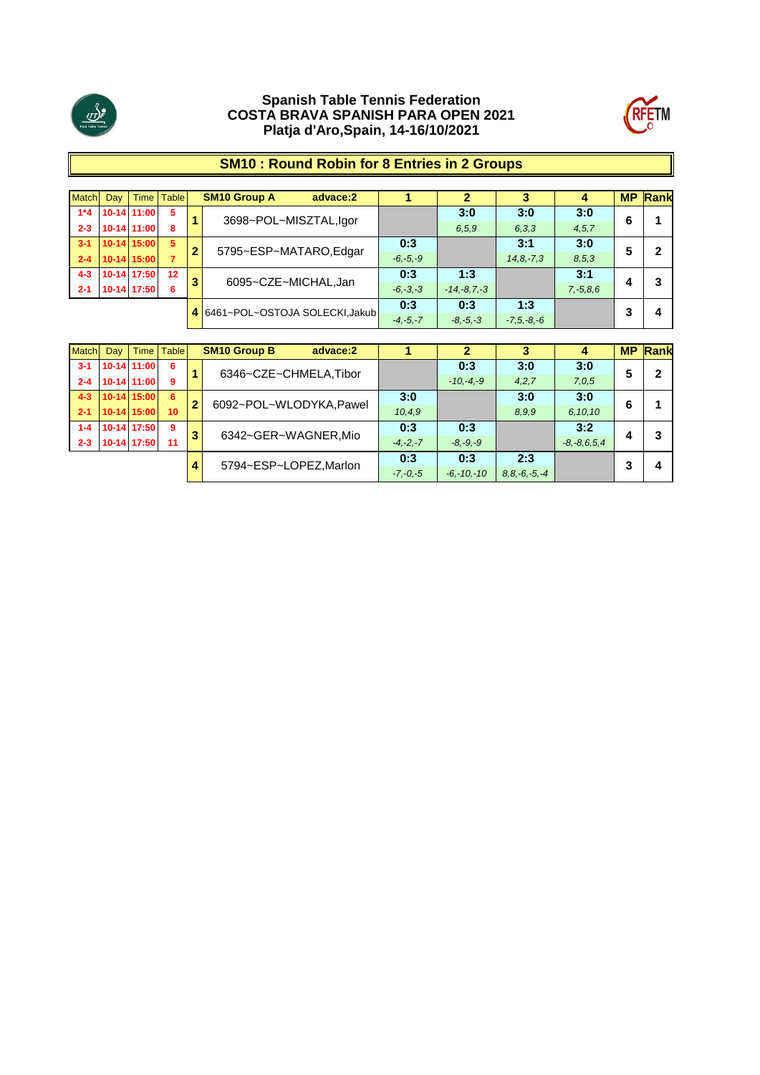



# **SM10 : Round Robin for 8 Entries in 2 Groups**

| Match   | Day |               | Time   Table |              | <b>SM10 Group A</b><br>advace:2  |                 |               |              | 4             | <b>MP</b> | Rank |
|---------|-----|---------------|--------------|--------------|----------------------------------|-----------------|---------------|--------------|---------------|-----------|------|
| $1*4$   |     | 10-14 11:00   | 5            |              | 3698~POL~MISZTAL,Igor            |                 | 3:0           | 3:0          | 3:0           | 6         |      |
| $2 - 3$ |     | 10-14 11:00   | 8            |              |                                  |                 | 6.5.9         | 6, 3, 3      | 4, 5, 7       |           |      |
| $3 - 1$ |     | 10-14 15:00   | 5            | 2            |                                  | 0:3             |               | 3:1          | 3:0           |           |      |
| $2 - 4$ |     | $10-14$ 15:00 |              |              | 5795~ESP~MATARO,Edgar            | $-6, -5, -9$    |               | $14.8 - 7.3$ | 8, 5, 3       |           |      |
| $4 - 3$ |     | 10-14 17:50   | 12           |              |                                  | 0:3             | 1:3           |              | 3:1           |           |      |
| $2 - 1$ |     | 10-14 17:50   | 6            | 3            | 6095~CZE~MICHAL,Jan              | $-6, -3, -3$    | $-14,-8,7,-3$ |              | $7, -5, 8, 6$ |           |      |
|         |     |               |              |              | 4 6461~POL~OSTOJA SOLECKI, Jakub | 0:3             | 0:3           | 1:3          |               | o         | Δ    |
|         |     |               |              | $-4, -5, -7$ | $-8, -5, -3$                     | $-7, 5, -8, -6$ |               |              |               |           |      |

| <b>Match</b> | Day | Time I        | Table |                | <b>SM10 Group B</b><br>advace:2 |                   | 2            | 3     | 4                 | <b>MP</b> | Rank |
|--------------|-----|---------------|-------|----------------|---------------------------------|-------------------|--------------|-------|-------------------|-----------|------|
| $3 - 1$      |     | 10-14 11:00   | 6     |                | 6346~CZE~CHMELA, Tibor          |                   | 0:3          | 3:0   | 3:0               | 5         | 2    |
| $2 - 4$      |     | 10-14 11:00   | 9     |                |                                 |                   | $-10,-4,-9$  | 4,2,7 | 7,0,5             |           |      |
| $4 - 3$      |     | $10-14$ 15:00 | -6    | $\overline{2}$ | 6092~POL~WLODYKA,Pawel          | 3:0               |              | 3:0   | 3:0               | 6         |      |
| $2 - 1$      |     | 10-14 15:00   | 10    |                |                                 | 10, 4, 9          |              | 8.9.9 | 6,10,10           |           |      |
| $1 - 4$      |     | 10-14 17:50   | 9     | 3              | 6342~GER~WAGNER,Mio             | 0:3               | 0:3          |       | 3:2               |           | 3    |
| $2 - 3$      |     | 10-14 17:50   | 11    |                |                                 | $-4, -2, -7$      | $-8, -9, -9$ |       | $-8, -8, 6, 5, 4$ |           |      |
|              |     |               |       |                | 5794~ESP~LOPEZ, Marlon          | 0:3               | 0:3          | 2:3   |                   | 2         | 4    |
|              |     | 4             |       | $-7, -0, -5$   | $-6, -10, -10$                  | $8.8 - 6 - 5 - 4$ |              |       |                   |           |      |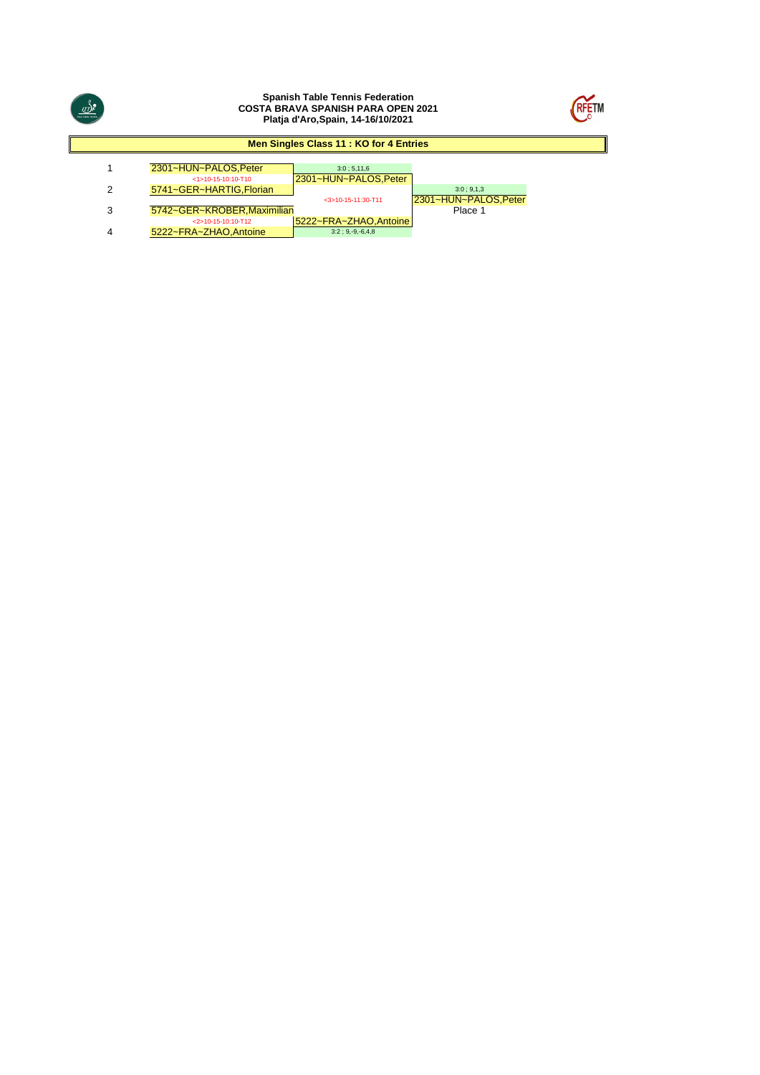



#### **Men Singles Class 11 : KO for 4 Entries**

| 2301~HUN~PALOS.Peter       | 3:0:5.11.6            |                      |
|----------------------------|-----------------------|----------------------|
| $<$ 1>10-15-10:10-T10      | 2301~HUN~PALOS, Peter |                      |
| 5741~GER~HARTIG.Florian    |                       | 3:0:9.1.3            |
|                            | $<$ 3>10-15-11:30-T11 | 2301~HUN~PALOS.Peter |
| 5742~GER~KROBER.Maximilian |                       | Place 1              |
|                            |                       |                      |

<mark>5222~FRA~ZHAO,Antoine</mark><br>3:2 : 9,-9,-6,4,8 2011 - 2011 - 2012 1915-10:10<br>2210-15-10:10<br>3222−FRA−ZHAO,Antoine